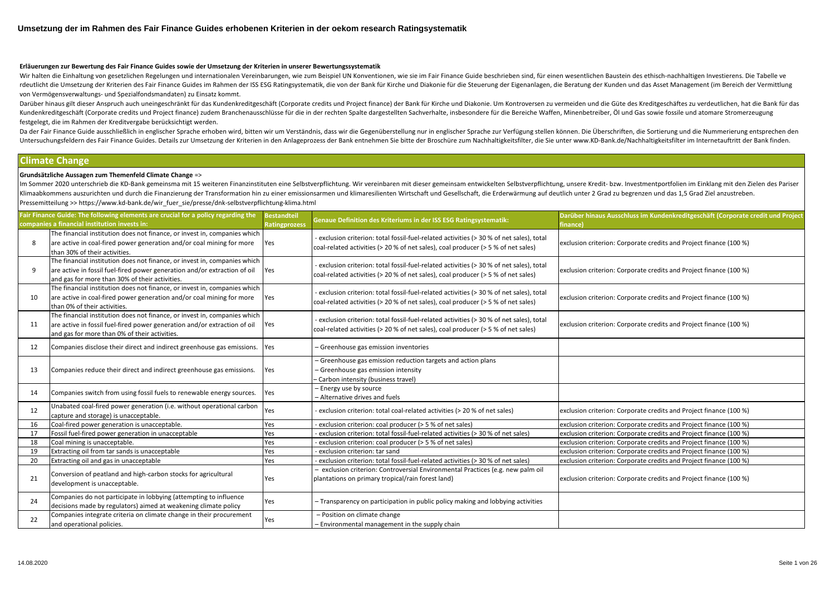#### **Erläuerungen zur Bewertung des Fair Finance Guides sowie der Umsetzung der Kriterien in unserer Bewertungssystematik**

Wir halten die Einhaltung von gesetzlichen Regelungen und internationalen Vereinbarungen, wie zum Beispiel UN Konventionen, wie sie im Fair Finance Guide beschrieben sind, für einen wesentlichen Baustein des ethisch-nachha rdeutlicht die Umsetzung der Kriterien des Fair Finance Guides im Rahmen der ISS ESG Ratingsystematik. die von der Bank für Kirche und Diakonie für die Steuerung der Eigenanlagen, die Beratung der Kunden und das Asset Mana von Vermögensverwaltungs- und Spezialfondsmandaten) zu Einsatz kommt.

Darüber hinaus gilt dieser Anspruch auch uneingeschränkt für das Kundenkreditgeschäft (Corporate credits und Proiect finance) der Bank für Kirche und Diakonie. Um Kontroversen zu vermeiden und die Güte des Kreditgeschäftes Kundenkreditgeschäft (Corporate credits und Project finance) zudem Branchenausschlüsse für die in der rechten Spalte dargestellten Sachverhalte, insbesondere für die Bereiche Waffen, Minenbetreiber, Öl und Gas sowie fossil festgelegt, die im Rahmen der Kreditvergabe berücksichtigt werden.

Da der Fair Finance Guide ausschließlich in englischer Sprache erhoben wird, bitten wir um Verständnis, dass wir die Gegenüberstellung nur in englischer Sprache zur Verfügung stellen können. Die Überschriften, die Sortieru Untersuchungsfeldern des Fair Finance Guides. Details zur Umsetzung der Kriterien in den Anlageprozess der Bank entnehmen Sie bitte der Broschüre zum Nachhaltigkeitsfilter, die Sie unter www.KD-Bank.de/Nachhaltigkeitsfilte

#### **Climate Change**

#### **Grundsätzliche Aussagen zum Themenfeld Climate Change** =>

Im Sommer 2020 unterschrieb die KD-Bank gemeinsma mit 15 weiteren Finanzinstituten eine Selbstverpflichtung. Wir vereinbaren mit dieser gemeinsam entwickelten Selbstverpflichtung, unsere Kredit- bzw. Investmentportfolien i Klimaabkommens auszurichten und durch die Finanzierung der Transformation hin zu einer emissionsarmen und klimaresilienten Wirtschaft und Gesellschaft, die Erderwärmung auf deutlich unter 2 Grad zu begrenzen und das 1,5 Gr Pressemitteilung >> https://www.kd-bank.de/wir\_fuer\_sie/presse/dnk-selbstverpflichtung-klima.html

|    | Fair Finance Guide: The following elements are crucial for a policy regarding the | <b>Bestandteil</b>   |                                                                                        | Darüber hinaus Ausschluss im Kundenkreditgeschäft (Corporate credit und Project |
|----|-----------------------------------------------------------------------------------|----------------------|----------------------------------------------------------------------------------------|---------------------------------------------------------------------------------|
|    | companies a financial institution invests in:                                     | <b>Ratingprozess</b> | <b>Genaue Definition des Kriteriums in der ISS ESG Ratingsystematik:</b>               | finance)                                                                        |
|    | The financial institution does not finance, or invest in, companies which         |                      | exclusion criterion: total fossil-fuel-related activities (> 30 % of net sales), total |                                                                                 |
| 8  | are active in coal-fired power generation and/or coal mining for more             | Yes                  | coal-related activities (> 20 % of net sales), coal producer (> 5 % of net sales)      | exclusion criterion: Corporate credits and Project finance (100 %)              |
|    | than 30% of their activities.                                                     |                      |                                                                                        |                                                                                 |
|    | The financial institution does not finance, or invest in, companies which         |                      | exclusion criterion: total fossil-fuel-related activities (> 30 % of net sales), total |                                                                                 |
| 9  | are active in fossil fuel-fired power generation and/or extraction of oil         | Yes                  | coal-related activities (> 20 % of net sales), coal producer (> 5 % of net sales)      | exclusion criterion: Corporate credits and Project finance (100 %)              |
|    | and gas for more than 30% of their activities.                                    |                      |                                                                                        |                                                                                 |
|    | The financial institution does not finance, or invest in, companies which         |                      | exclusion criterion: total fossil-fuel-related activities (> 30 % of net sales), total |                                                                                 |
| 10 | are active in coal-fired power generation and/or coal mining for more             | Yes                  | coal-related activities (> 20 % of net sales), coal producer (> 5 % of net sales)      | exclusion criterion: Corporate credits and Project finance (100 %)              |
|    | than 0% of their activities.                                                      |                      |                                                                                        |                                                                                 |
|    | The financial institution does not finance, or invest in, companies which         |                      | exclusion criterion: total fossil-fuel-related activities (> 30 % of net sales), total |                                                                                 |
| 11 | are active in fossil fuel-fired power generation and/or extraction of oil         | Yes                  | coal-related activities (> 20 % of net sales), coal producer (> 5 % of net sales)      | exclusion criterion: Corporate credits and Project finance (100 %)              |
|    | and gas for more than 0% of their activities.                                     |                      |                                                                                        |                                                                                 |
| 12 | Companies disclose their direct and indirect greenhouse gas emissions.            | Yes                  | - Greenhouse gas emission inventories                                                  |                                                                                 |
|    |                                                                                   |                      |                                                                                        |                                                                                 |
|    |                                                                                   |                      | - Greenhouse gas emission reduction targets and action plans                           |                                                                                 |
| 13 | Companies reduce their direct and indirect greenhouse gas emissions.              | Yes                  | - Greenhouse gas emission intensity                                                    |                                                                                 |
|    |                                                                                   |                      | Carbon intensity (business travel)                                                     |                                                                                 |
| 14 | Companies switch from using fossil fuels to renewable energy sources.             | Yes                  | - Energy use by source                                                                 |                                                                                 |
|    |                                                                                   |                      | - Alternative drives and fuels                                                         |                                                                                 |
| 12 | Unabated coal-fired power generation (i.e. without operational carbon             | Yes                  | exclusion criterion: total coal-related activities (> 20 % of net sales)               | exclusion criterion: Corporate credits and Project finance (100 %)              |
|    | capture and storage) is unacceptable.                                             |                      |                                                                                        |                                                                                 |
| 16 | Coal-fired power generation is unacceptable.                                      | Yes                  | exclusion criterion: coal producer (> 5 % of net sales)                                | exclusion criterion: Corporate credits and Project finance (100 %)              |
| 17 | Fossil fuel-fired power generation in unacceptable                                | Yes                  | exclusion criterion: total fossil-fuel-related activities (> 30 % of net sales)        | exclusion criterion: Corporate credits and Project finance (100 %)              |
| 18 | Coal mining is unacceptable.                                                      | Yes                  | exclusion criterion: coal producer (> 5 % of net sales)                                | exclusion criterion: Corporate credits and Project finance (100 %)              |
| 19 | Extracting oil from tar sands is unacceptable                                     | Yes                  | exclusion criterion: tar sand                                                          | exclusion criterion: Corporate credits and Project finance (100 %)              |
| 20 | Extracting oil and gas in unacceptable                                            | Yes                  | exclusion criterion: total fossil-fuel-related activities (> 30 % of net sales)        | exclusion criterion: Corporate credits and Project finance (100 %)              |
|    | Conversion of peatland and high-carbon stocks for agricultural                    |                      | - exclusion criterion: Controversial Environmental Practices (e.g. new palm oil        |                                                                                 |
| 21 | development is unacceptable.                                                      | Yes                  | plantations on primary tropical/rain forest land)                                      | exclusion criterion: Corporate credits and Project finance (100 %)              |
|    |                                                                                   |                      |                                                                                        |                                                                                 |
| 24 | Companies do not participate in lobbying (attempting to influence                 | Yes                  | - Transparency on participation in public policy making and lobbying activities        |                                                                                 |
|    | decisions made by regulators) aimed at weakening climate policy                   |                      |                                                                                        |                                                                                 |
| 22 | Companies integrate criteria on climate change in their procurement               | Yes                  | - Position on climate change                                                           |                                                                                 |
|    | and operational policies.                                                         |                      | - Environmental management in the supply chain                                         |                                                                                 |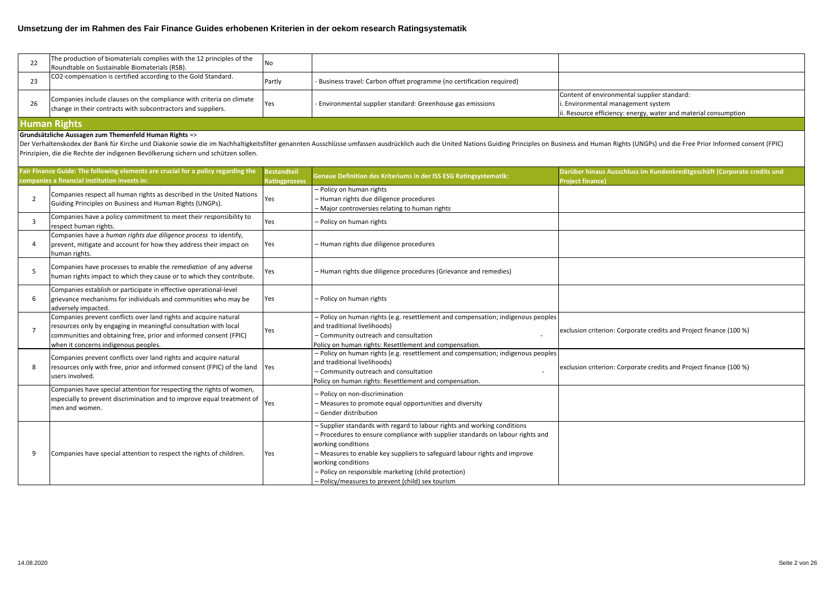|                     | The production of biomaterials complies with the 12 principles of the<br>Roundtable on Sustainable Biomaterials (RSB).               |        |                                                                        |                                                                                                                                                      |
|---------------------|--------------------------------------------------------------------------------------------------------------------------------------|--------|------------------------------------------------------------------------|------------------------------------------------------------------------------------------------------------------------------------------------------|
|                     | CO2-compensation is certified according to the Gold Standard.                                                                        | Partly | - Business travel: Carbon offset programme (no certification required) |                                                                                                                                                      |
| 26                  | Companies include clauses on the compliance with criteria on climate<br>change in their contracts with subcontractors and suppliers. |        | - Environmental supplier standard: Greenhouse gas emissions            | Content of environmental supplier standard:<br>i. Environmental management system<br>ii. Resource efficiency: energy, water and material consumption |
| <b>Human Rights</b> |                                                                                                                                      |        |                                                                        |                                                                                                                                                      |

### **Grundsätzliche Aussagen zum Themenfeld Human Rights** =>

Der Verhaltenskodex der Bank für Kirche und Diakonie sowie die im Nachhaltigkeitsfilter genannten Ausschlüsse umfassen ausdrücklich auch die United Nations Guiding Principles on Business and Human Rights (UNGPs) und die Fr Prinzipien, die die Rechte der indigenen Bevölkerung sichern und schützen sollen.

|                | Fair Finance Guide: The following elements are crucial for a policy regarding the<br>companies a financial institution invests in:                                                                                                                | <b>Bestandteil</b><br><b>Ratingprozess</b> | <b>Genaue Definition des Kriteriums in der ISS ESG Ratingsystematik:</b>                                                                                                                                                                                                                                                                                                                        | Darüber hinaus Ausschluss im Kundenkreditgeschäft (Corporate credits und<br><b>Project finance)</b> |
|----------------|---------------------------------------------------------------------------------------------------------------------------------------------------------------------------------------------------------------------------------------------------|--------------------------------------------|-------------------------------------------------------------------------------------------------------------------------------------------------------------------------------------------------------------------------------------------------------------------------------------------------------------------------------------------------------------------------------------------------|-----------------------------------------------------------------------------------------------------|
| $\overline{2}$ | Companies respect all human rights as described in the United Nations<br>Guiding Principles on Business and Human Rights (UNGPs).                                                                                                                 | Yes                                        | - Policy on human rights<br>- Human rights due diligence procedures<br>- Major controversies relating to human rights                                                                                                                                                                                                                                                                           |                                                                                                     |
| 3              | Companies have a policy commitment to meet their responsibility to<br>respect human rights.                                                                                                                                                       | Yes                                        | - Policy on human rights                                                                                                                                                                                                                                                                                                                                                                        |                                                                                                     |
| $\Delta$       | Companies have a human rights due diligence process to identify,<br>prevent, mitigate and account for how they address their impact on<br>human rights.                                                                                           | Yes                                        | - Human rights due diligence procedures                                                                                                                                                                                                                                                                                                                                                         |                                                                                                     |
| 5              | Companies have processes to enable the remediation of any adverse<br>human rights impact to which they cause or to which they contribute.                                                                                                         | Yes                                        | - Human rights due diligence procedures (Grievance and remedies)                                                                                                                                                                                                                                                                                                                                |                                                                                                     |
|                | Companies establish or participate in effective operational-level<br>grievance mechanisms for individuals and communities who may be<br>adversely impacted.                                                                                       | Yes                                        | - Policy on human rights                                                                                                                                                                                                                                                                                                                                                                        |                                                                                                     |
|                | Companies prevent conflicts over land rights and acquire natural<br>resources only by engaging in meaningful consultation with local<br>communities and obtaining free, prior and informed consent (FPIC)<br>when it concerns indigenous peoples. | Yes                                        | - Policy on human rights (e.g. resettlement and compensation; indigenous peoples<br>and traditional livelihoods)<br>- Community outreach and consultation<br>Policy on human rights: Resettlement and compensation.                                                                                                                                                                             | exclusion criterion: Corporate credits and Project finance (100 %)                                  |
|                | Companies prevent conflicts over land rights and acquire natural<br>resources only with free, prior and informed consent (FPIC) of the land Yes<br>users involved.                                                                                |                                            | - Policy on human rights (e.g. resettlement and compensation; indigenous peoples<br>and traditional livelihoods)<br>- Community outreach and consultation<br>Policy on human rights: Resettlement and compensation.                                                                                                                                                                             | exclusion criterion: Corporate credits and Project finance (100 %)                                  |
|                | Companies have special attention for respecting the rights of women,<br>especially to prevent discrimination and to improve equal treatment of<br>men and women.                                                                                  | Yes                                        | - Policy on non-discrimination<br>- Measures to promote equal opportunities and diversity<br>- Gender distribution                                                                                                                                                                                                                                                                              |                                                                                                     |
| 9              | Companies have special attention to respect the rights of children.                                                                                                                                                                               | Yes                                        | - Supplier standards with regard to labour rights and working conditions<br>- Procedures to ensure compliance with supplier standards on labour rights and<br>working conditions<br>- Measures to enable key suppliers to safeguard labour rights and improve<br>working conditions<br>- Policy on responsible marketing (child protection)<br>- Policy/measures to prevent (child) sex tourism |                                                                                                     |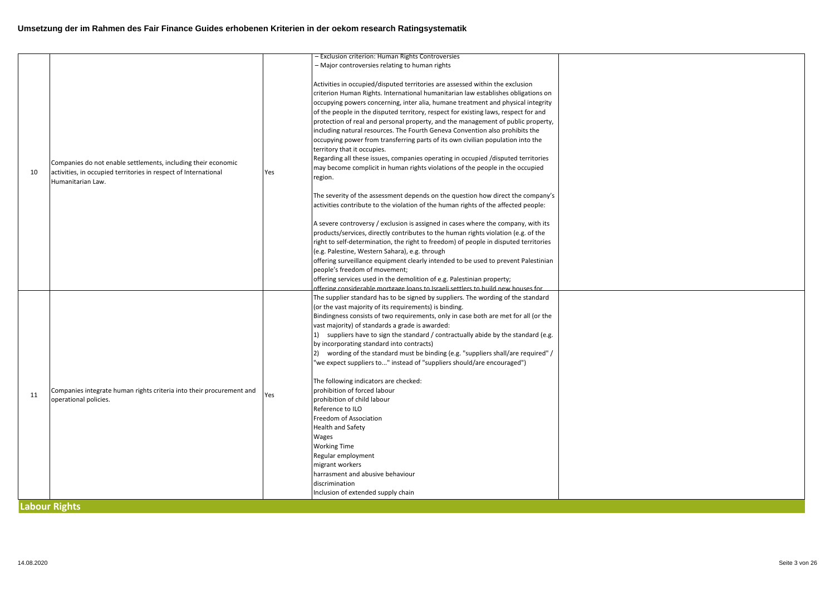| 10 | Companies do not enable settlements, including their economic<br>activities, in occupied territories in respect of International<br>Humanitarian Law. | Yes | - Exclusion criterion: Human Rights Controversies<br>- Major controversies relating to human rights<br>Activities in occupied/disputed territories are assessed within the exclusion<br>criterion Human Rights. International humanitarian law establishes obligations on<br>occupying powers concerning, inter alia, humane treatment and physical integrity<br>of the people in the disputed territory, respect for existing laws, respect for and<br>protection of real and personal property, and the management of public property,<br>including natural resources. The Fourth Geneva Convention also prohibits the<br>occupying power from transferring parts of its own civilian population into the<br>territory that it occupies.<br>Regarding all these issues, companies operating in occupied /disputed territories<br>may become complicit in human rights violations of the people in the occupied<br>region.<br>The severity of the assessment depends on the question how direct the company's<br>activities contribute to the violation of the human rights of the affected people:<br>A severe controversy / exclusion is assigned in cases where the company, with its<br>products/services, directly contributes to the human rights violation (e.g. of the<br>right to self-determination, the right to freedom) of people in disputed territories<br>(e.g. Palestine, Western Sahara), e.g. through<br>offering surveillance equipment clearly intended to be used to prevent Palestinian<br>people's freedom of movement;<br>offering services used in the demolition of e.g. Palestinian property; |  |
|----|-------------------------------------------------------------------------------------------------------------------------------------------------------|-----|----------------------------------------------------------------------------------------------------------------------------------------------------------------------------------------------------------------------------------------------------------------------------------------------------------------------------------------------------------------------------------------------------------------------------------------------------------------------------------------------------------------------------------------------------------------------------------------------------------------------------------------------------------------------------------------------------------------------------------------------------------------------------------------------------------------------------------------------------------------------------------------------------------------------------------------------------------------------------------------------------------------------------------------------------------------------------------------------------------------------------------------------------------------------------------------------------------------------------------------------------------------------------------------------------------------------------------------------------------------------------------------------------------------------------------------------------------------------------------------------------------------------------------------------------------------------------------------------------------------------------|--|
| 11 | Companies integrate human rights criteria into their procurement and<br>operational policies.<br><b>Labour Rights</b>                                 | Yes | offering considerable mortgage loans to Israeli settlers to build new houses for<br>The supplier standard has to be signed by suppliers. The wording of the standard<br>(or the vast majority of its requirements) is binding.<br>Bindingness consists of two requirements, only in case both are met for all (or the<br>vast majority) of standards a grade is awarded:<br>1) suppliers have to sign the standard / contractually abide by the standard (e.g.<br>by incorporating standard into contracts)<br>2) wording of the standard must be binding (e.g. "suppliers shall/are required" /<br>"we expect suppliers to" instead of "suppliers should/are encouraged")<br>The following indicators are checked:<br>prohibition of forced labour<br>prohibition of child labour<br>Reference to ILO<br>Freedom of Association<br>Health and Safety<br>Wages<br><b>Working Time</b><br>Regular employment<br>migrant workers<br>harrasment and abusive behaviour<br>discrimination<br>Inclusion of extended supply chain                                                                                                                                                                                                                                                                                                                                                                                                                                                                                                                                                                                                 |  |
|    |                                                                                                                                                       |     |                                                                                                                                                                                                                                                                                                                                                                                                                                                                                                                                                                                                                                                                                                                                                                                                                                                                                                                                                                                                                                                                                                                                                                                                                                                                                                                                                                                                                                                                                                                                                                                                                            |  |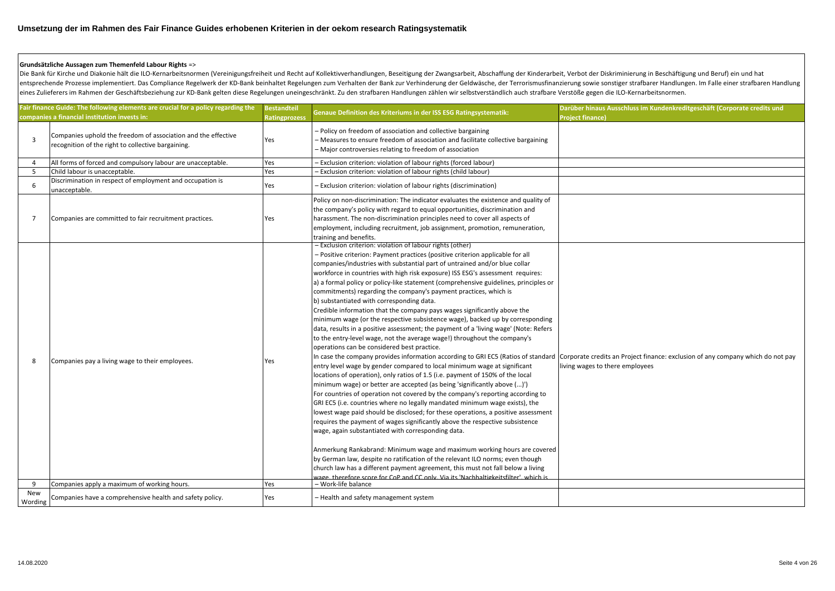#### **Grundsätzliche Aussagen zum Themenfeld Labour Rights** =>

Die Bank für Kirche und Diakonie hält die ILO-Kernarbeitsnormen (Vereinigungsfreiheit und Recht auf Kollektivverhandlungen, Beseitigung der Zwangsarbeit, Abschaffung der Kinderarbeit, Verbot der Diskriminierung in Beschäft entsprechende Prozesse implementiert. Das Compliance Regelwerk der KD-Bank beinhaltet Regelungen zum Verhalten der Bank zur Verhinderung der Geldwäsche, der Terrorismusfinanzierung sowie sonstiger strafbarer Handlungen. Im eines Zulieferers im Rahmen der Geschäftsbeziehung zur KD-Bank gelten diese Regelungen uneingeschränkt. Zu den strafbaren Handlungen zählen wir selbstverständlich auch strafbare Verstöße gegen die ILO-Kernarbeitsnormen.

|                | Fair finance Guide: The following elements are crucial for a policy regarding the<br>companies a financial institution invests in: | <b>Bestandteil</b><br>Ratingprozess | Genaue Definition des Kriteriums in der ISS ESG Ratingsystematik:                                                                                                                                                                                                                                                                                                                                                                                                                                                                                                                                                                                                                                                                                                                                                                                                                                                                                                                                                                                                                                                                                                                                                                                                                                                                                                                                                                                                                                                                                                                                                                                                                                                                                                                                                                                                                                                                                                                                                                                    | Darüber hinaus Ausschluss im Kundenkreditgeschäft (Corporate credits und<br><b>Project finance)</b> |
|----------------|------------------------------------------------------------------------------------------------------------------------------------|-------------------------------------|------------------------------------------------------------------------------------------------------------------------------------------------------------------------------------------------------------------------------------------------------------------------------------------------------------------------------------------------------------------------------------------------------------------------------------------------------------------------------------------------------------------------------------------------------------------------------------------------------------------------------------------------------------------------------------------------------------------------------------------------------------------------------------------------------------------------------------------------------------------------------------------------------------------------------------------------------------------------------------------------------------------------------------------------------------------------------------------------------------------------------------------------------------------------------------------------------------------------------------------------------------------------------------------------------------------------------------------------------------------------------------------------------------------------------------------------------------------------------------------------------------------------------------------------------------------------------------------------------------------------------------------------------------------------------------------------------------------------------------------------------------------------------------------------------------------------------------------------------------------------------------------------------------------------------------------------------------------------------------------------------------------------------------------------------|-----------------------------------------------------------------------------------------------------|
| 3              | Companies uphold the freedom of association and the effective<br>recognition of the right to collective bargaining.                | Yes                                 | - Policy on freedom of association and collective bargaining<br>- Measures to ensure freedom of association and facilitate collective bargaining<br>- Major controversies relating to freedom of association                                                                                                                                                                                                                                                                                                                                                                                                                                                                                                                                                                                                                                                                                                                                                                                                                                                                                                                                                                                                                                                                                                                                                                                                                                                                                                                                                                                                                                                                                                                                                                                                                                                                                                                                                                                                                                         |                                                                                                     |
| $\overline{4}$ | All forms of forced and compulsory labour are unacceptable.                                                                        | Yes                                 | - Exclusion criterion: violation of labour rights (forced labour)                                                                                                                                                                                                                                                                                                                                                                                                                                                                                                                                                                                                                                                                                                                                                                                                                                                                                                                                                                                                                                                                                                                                                                                                                                                                                                                                                                                                                                                                                                                                                                                                                                                                                                                                                                                                                                                                                                                                                                                    |                                                                                                     |
| 5              | Child labour is unacceptable.                                                                                                      | Yes                                 | - Exclusion criterion: violation of labour rights (child labour)                                                                                                                                                                                                                                                                                                                                                                                                                                                                                                                                                                                                                                                                                                                                                                                                                                                                                                                                                                                                                                                                                                                                                                                                                                                                                                                                                                                                                                                                                                                                                                                                                                                                                                                                                                                                                                                                                                                                                                                     |                                                                                                     |
| 6              | Discrimination in respect of employment and occupation is<br>unacceptable.                                                         | Yes                                 | - Exclusion criterion: violation of labour rights (discrimination)                                                                                                                                                                                                                                                                                                                                                                                                                                                                                                                                                                                                                                                                                                                                                                                                                                                                                                                                                                                                                                                                                                                                                                                                                                                                                                                                                                                                                                                                                                                                                                                                                                                                                                                                                                                                                                                                                                                                                                                   |                                                                                                     |
| $\overline{7}$ | Companies are committed to fair recruitment practices.                                                                             | Yes                                 | Policy on non-discrimination: The indicator evaluates the existence and quality of<br>the company's policy with regard to equal opportunities, discrimination and<br>harassment. The non-discrimination principles need to cover all aspects of<br>employment, including recruitment, job assignment, promotion, remuneration,<br>training and benefits.                                                                                                                                                                                                                                                                                                                                                                                                                                                                                                                                                                                                                                                                                                                                                                                                                                                                                                                                                                                                                                                                                                                                                                                                                                                                                                                                                                                                                                                                                                                                                                                                                                                                                             |                                                                                                     |
| 8              | Companies pay a living wage to their employees.                                                                                    | Yes                                 | - Exclusion criterion: violation of labour rights (other)<br>- Positive criterion: Payment practices (positive criterion applicable for all<br>companies/industries with substantial part of untrained and/or blue collar<br>workforce in countries with high risk exposure) ISS ESG's assessment requires:<br>a) a formal policy or policy-like statement (comprehensive guidelines, principles or<br>commitments) regarding the company's payment practices, which is<br>b) substantiated with corresponding data.<br>Credible information that the company pays wages significantly above the<br>minimum wage (or the respective subsistence wage), backed up by corresponding<br>data, results in a positive assessment; the payment of a 'living wage' (Note: Refers<br>to the entry-level wage, not the average wage!) throughout the company's<br>operations can be considered best practice.<br>In case the company provides information according to GRI EC5 (Ratios of standard Corporate credits an Project finance: exclusion of any company which do not pay<br>entry level wage by gender compared to local minimum wage at significant<br>locations of operation), only ratios of 1.5 (i.e. payment of 150% of the local<br>minimum wage) or better are accepted (as being 'significantly above ()')<br>For countries of operation not covered by the company's reporting according to<br>GRI EC5 (i.e. countries where no legally mandated minimum wage exists), the<br>lowest wage paid should be disclosed; for these operations, a positive assessment<br>requires the payment of wages significantly above the respective subsistence<br>wage, again substantiated with corresponding data.<br>Anmerkung Rankabrand: Minimum wage and maximum working hours are covered<br>by German law, despite no ratification of the relevant ILO norms; even though<br>church law has a different payment agreement, this must not fall below a living<br>vage therefore score for CoP and CC only Via its 'Nachhaltigkeitsfilter' which is | living wages to there employees                                                                     |
| 9              | Companies apply a maximum of working hours.                                                                                        | Yes                                 | - Work-life balance                                                                                                                                                                                                                                                                                                                                                                                                                                                                                                                                                                                                                                                                                                                                                                                                                                                                                                                                                                                                                                                                                                                                                                                                                                                                                                                                                                                                                                                                                                                                                                                                                                                                                                                                                                                                                                                                                                                                                                                                                                  |                                                                                                     |
| New            |                                                                                                                                    |                                     |                                                                                                                                                                                                                                                                                                                                                                                                                                                                                                                                                                                                                                                                                                                                                                                                                                                                                                                                                                                                                                                                                                                                                                                                                                                                                                                                                                                                                                                                                                                                                                                                                                                                                                                                                                                                                                                                                                                                                                                                                                                      |                                                                                                     |
| Wording        | Companies have a comprehensive health and safety policy.                                                                           | Yes                                 | - Health and safety management system                                                                                                                                                                                                                                                                                                                                                                                                                                                                                                                                                                                                                                                                                                                                                                                                                                                                                                                                                                                                                                                                                                                                                                                                                                                                                                                                                                                                                                                                                                                                                                                                                                                                                                                                                                                                                                                                                                                                                                                                                |                                                                                                     |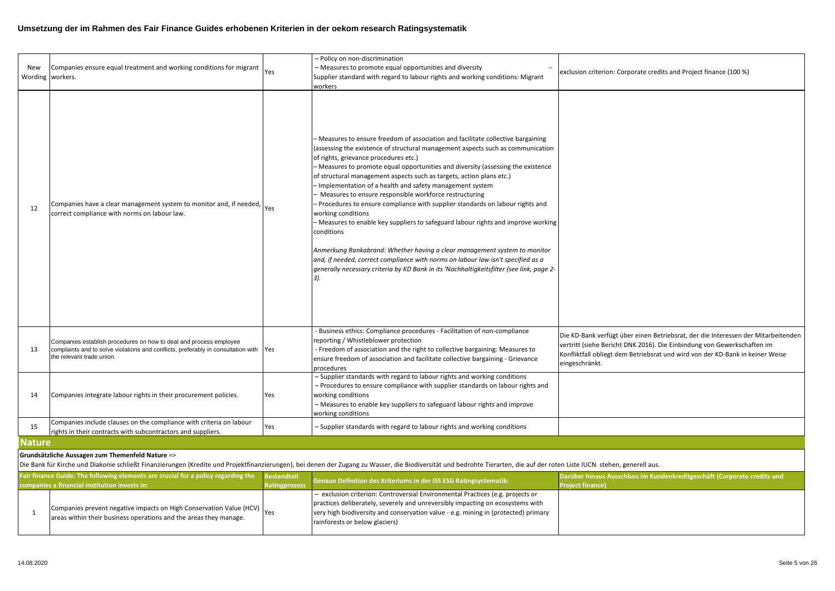| New<br>Wording workers. | Companies ensure equal treatment and working conditions for migrant                                                                                                                  | Yes | - Policy on non-discrimination<br>- Measures to promote equal opportunities and diversity<br>Supplier standard with regard to labour rights and working conditions: Migrant<br>workers                                                                                                                                                                                                                                                                                                                                                                                                                                                                                                                                                                                                                                                                                                                                                                                    | exclusion criterion: Corporate credits and Project finance (100 %)                                                                                                                                                                                              |  |  |
|-------------------------|--------------------------------------------------------------------------------------------------------------------------------------------------------------------------------------|-----|---------------------------------------------------------------------------------------------------------------------------------------------------------------------------------------------------------------------------------------------------------------------------------------------------------------------------------------------------------------------------------------------------------------------------------------------------------------------------------------------------------------------------------------------------------------------------------------------------------------------------------------------------------------------------------------------------------------------------------------------------------------------------------------------------------------------------------------------------------------------------------------------------------------------------------------------------------------------------|-----------------------------------------------------------------------------------------------------------------------------------------------------------------------------------------------------------------------------------------------------------------|--|--|
| 12                      | Companies have a clear management system to monitor and, if needed, $\big _{\text{Yes}}$<br>correct compliance with norms on labour law.                                             |     | - Measures to ensure freedom of association and facilitate collective bargaining<br>(assessing the existence of structural management aspects such as communication<br>of rights, grievance procedures etc.)<br>- Measures to promote equal opportunities and diversity (assessing the existence<br>of structural management aspects such as targets, action plans etc.)<br>- Implementation of a health and safety management system<br>- Measures to ensure responsible workforce restructuring<br>- Procedures to ensure compliance with supplier standards on labour rights and<br>working conditions<br>- Measures to enable key suppliers to safeguard labour rights and improve working<br>conditions<br>Anmerkung Rankabrand: Whether having a clear management system to monitor<br>and, if needed, correct compliance with norms on labour law isn't specified as a<br>generally necessary criteria by KD Bank in its 'Nachhaltigkeitsfilter (see link, page 2- |                                                                                                                                                                                                                                                                 |  |  |
| 13                      | Companies establish procedures on how to deal and process employee<br>complaints and to solve violations and conflicts, preferably in consultation with<br>the relevant trade union. | Yes | - Business ethics: Compliance procedures - Facilitation of non-compliance<br>reporting / Whistleblower protection<br>- Freedom of association and the right to collective bargaining: Measures to<br>ensure freedom of association and facilitate collective bargaining - Grievance<br>procedures                                                                                                                                                                                                                                                                                                                                                                                                                                                                                                                                                                                                                                                                         | Die KD-Bank verfügt über einen Betriebsrat, der die Interessen der Mitarbeitenden<br>vertritt (siehe Bericht DNK 2016). Die Einbindung von Gewerkschaften im<br>Konfliktfall obliegt dem Betriebsrat und wird von der KD-Bank in keiner Weise<br>eingeschränkt. |  |  |
| 14                      | Companies integrate labour rights in their procurement policies.                                                                                                                     | Yes | - Supplier standards with regard to labour rights and working conditions<br>- Procedures to ensure compliance with supplier standards on labour rights and<br>working conditions<br>- Measures to enable key suppliers to safeguard labour rights and improve<br>working conditions                                                                                                                                                                                                                                                                                                                                                                                                                                                                                                                                                                                                                                                                                       |                                                                                                                                                                                                                                                                 |  |  |
| 15                      | Companies include clauses on the compliance with criteria on labour<br>rights in their contracts with subcontractors and suppliers.                                                  | Yes | - Supplier standards with regard to labour rights and working conditions                                                                                                                                                                                                                                                                                                                                                                                                                                                                                                                                                                                                                                                                                                                                                                                                                                                                                                  |                                                                                                                                                                                                                                                                 |  |  |
| Nature                  |                                                                                                                                                                                      |     |                                                                                                                                                                                                                                                                                                                                                                                                                                                                                                                                                                                                                                                                                                                                                                                                                                                                                                                                                                           |                                                                                                                                                                                                                                                                 |  |  |

#### **Grundsätzliche Aussagen zum Themenfeld Nature** =>

Die Bank für Kirche und Diakonie schließt Finanzierungen (Kredite und Projektfinanzierungen), bei denen der Zugang zu Wasser, die Biodiversität und bedrohte Tierarten, die auf der roten Liste IUCN stehen, generell aus.

| Fair finance Guide: The following elements are crucial for a policy regarding the |  | Bestandteil                                                                                                                                  | Genaue Definition des Kriteriums in der ISS ESG Ratingsystematik: | Darüber hinaus Ausschluss im Kundenkreditgeschäft (Corporate credits und                                                                                                                                                                                                                 |                         |
|-----------------------------------------------------------------------------------|--|----------------------------------------------------------------------------------------------------------------------------------------------|-------------------------------------------------------------------|------------------------------------------------------------------------------------------------------------------------------------------------------------------------------------------------------------------------------------------------------------------------------------------|-------------------------|
|                                                                                   |  | companies a financial institution invests in:                                                                                                | Ratingprozess                                                     |                                                                                                                                                                                                                                                                                          | <b>Project finance)</b> |
|                                                                                   |  | Companies prevent negative impacts on High Conservation Value (HCV) Yes<br>areas within their business operations and the areas they manage. |                                                                   | - exclusion criterion: Controversial Environmental Practices (e.g. projects or<br>practices deliberately, severely and unreversibly impacting on ecosystems with<br>very high biodiversity and conservation value - e.g. mining in (protected) primary<br>rainforests or below glaciers) |                         |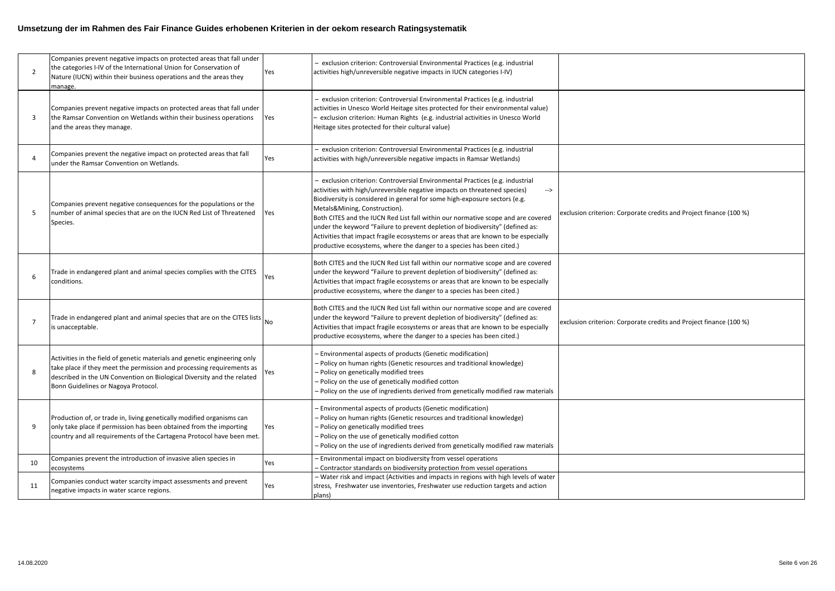| $\overline{2}$ | Companies prevent negative impacts on protected areas that fall under<br>the categories I-IV of the International Union for Conservation of<br>Nature (IUCN) within their business operations and the areas they<br>manage.                                         | Yes       | - exclusion criterion: Controversial Environmental Practices (e.g. industrial<br>activities high/unreversible negative impacts in IUCN categories I-IV)                                                                                                                                                                                                                                                                                                                                                                                                                                                              |                                                                    |
|----------------|---------------------------------------------------------------------------------------------------------------------------------------------------------------------------------------------------------------------------------------------------------------------|-----------|----------------------------------------------------------------------------------------------------------------------------------------------------------------------------------------------------------------------------------------------------------------------------------------------------------------------------------------------------------------------------------------------------------------------------------------------------------------------------------------------------------------------------------------------------------------------------------------------------------------------|--------------------------------------------------------------------|
| $\overline{3}$ | Companies prevent negative impacts on protected areas that fall under<br>the Ramsar Convention on Wetlands within their business operations<br>and the areas they manage.                                                                                           | Yes       | - exclusion criterion: Controversial Environmental Practices (e.g. industrial<br>activities in Unesco World Heitage sites protected for their environmental value)<br>exclusion criterion: Human Rights (e.g. industrial activities in Unesco World<br>Heitage sites protected for their cultural value)                                                                                                                                                                                                                                                                                                             |                                                                    |
| $\overline{4}$ | Companies prevent the negative impact on protected areas that fall<br>under the Ramsar Convention on Wetlands.                                                                                                                                                      | Yes       | - exclusion criterion: Controversial Environmental Practices (e.g. industrial<br>activities with high/unreversible negative impacts in Ramsar Wetlands)                                                                                                                                                                                                                                                                                                                                                                                                                                                              |                                                                    |
| .5             | Companies prevent negative consequences for the populations or the<br>number of animal species that are on the IUCN Red List of Threatened<br>Species.                                                                                                              | Yes       | - exclusion criterion: Controversial Environmental Practices (e.g. industrial<br>activities with high/unreversible negative impacts on threatened species)<br>--><br>Biodiversity is considered in general for some high-exposure sectors (e.g.<br>Metals&Mining, Construction).<br>Both CITES and the IUCN Red List fall within our normative scope and are covered<br>under the keyword "Failure to prevent depletion of biodiversity" (defined as:<br>Activities that impact fragile ecosystems or areas that are known to be especially<br>productive ecosystems, where the danger to a species has been cited.) | exclusion criterion: Corporate credits and Project finance (100 %) |
| 6              | Trade in endangered plant and animal species complies with the CITES<br>conditions.                                                                                                                                                                                 | Yes       | Both CITES and the IUCN Red List fall within our normative scope and are covered<br>under the keyword "Failure to prevent depletion of biodiversity" (defined as:<br>Activities that impact fragile ecosystems or areas that are known to be especially<br>productive ecosystems, where the danger to a species has been cited.)                                                                                                                                                                                                                                                                                     |                                                                    |
| $\overline{7}$ | Trade in endangered plant and animal species that are on the CITES lists<br>is unacceptable.                                                                                                                                                                        | <b>No</b> | Both CITES and the IUCN Red List fall within our normative scope and are covered<br>under the keyword "Failure to prevent depletion of biodiversity" (defined as:<br>Activities that impact fragile ecosystems or areas that are known to be especially<br>productive ecosystems, where the danger to a species has been cited.)                                                                                                                                                                                                                                                                                     | exclusion criterion: Corporate credits and Project finance (100 %) |
| 8              | Activities in the field of genetic materials and genetic engineering only<br>take place if they meet the permission and processing requirements as<br>described in the UN Convention on Biological Diversity and the related<br>Bonn Guidelines or Nagoya Protocol. | Yes       | - Environmental aspects of products (Genetic modification)<br>- Policy on human rights (Genetic resources and traditional knowledge)<br>- Policy on genetically modified trees<br>- Policy on the use of genetically modified cotton<br>- Policy on the use of ingredients derived from genetically modified raw materials                                                                                                                                                                                                                                                                                           |                                                                    |
| 9              | Production of, or trade in, living genetically modified organisms can<br>only take place if permission has been obtained from the importing<br>country and all requirements of the Cartagena Protocol have been met.                                                | Yes       | - Environmental aspects of products (Genetic modification)<br>- Policy on human rights (Genetic resources and traditional knowledge)<br>- Policy on genetically modified trees<br>- Policy on the use of genetically modified cotton<br>- Policy on the use of ingredients derived from genetically modified raw materials                                                                                                                                                                                                                                                                                           |                                                                    |
| 10             | Companies prevent the introduction of invasive alien species in<br>ecosystems                                                                                                                                                                                       | Yes       | - Environmental impact on biodiversity from vessel operations<br>- Contractor standards on biodiversity protection from vessel operations                                                                                                                                                                                                                                                                                                                                                                                                                                                                            |                                                                    |
| 11             | Companies conduct water scarcity impact assessments and prevent<br>negative impacts in water scarce regions.                                                                                                                                                        | Yes       | - Water risk and impact (Activities and impacts in regions with high levels of water<br>stress, Freshwater use inventories, Freshwater use reduction targets and action<br>plans)                                                                                                                                                                                                                                                                                                                                                                                                                                    |                                                                    |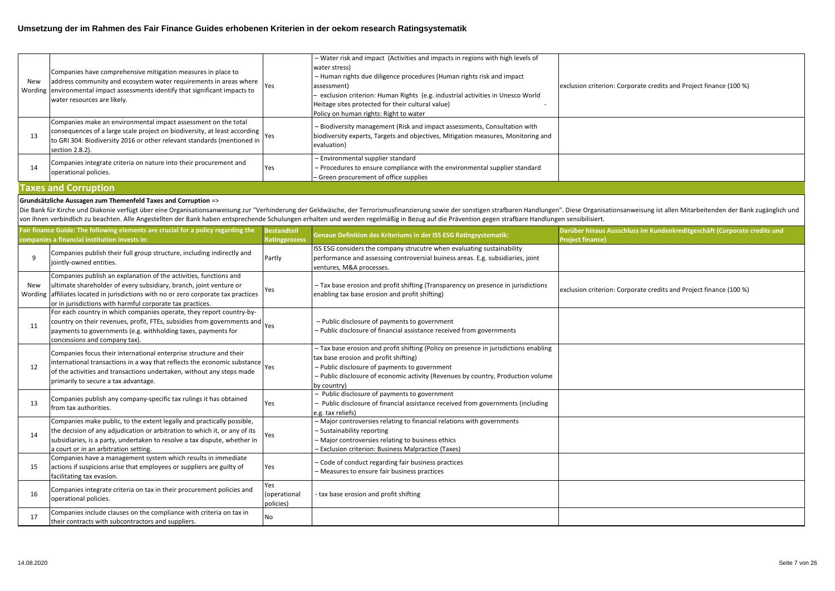| New | Companies have comprehensive mitigation measures in place to<br>address community and ecosystem water requirements in areas where<br>Wording environmental impact assessments identify that significant impacts to<br>water resources are likely. | Yes | - Water risk and impact (Activities and impacts in regions with high levels of<br>water stress)<br>- Human rights due diligence procedures (Human rights risk and impact<br>assessment)<br>- exclusion criterion: Human Rights (e.g. industrial activities in Unesco World<br>Heitage sites protected for their cultural value)<br>Policy on human rights: Right to water | exclusion criterion: Corporate credits and Project finance (100 %) |
|-----|---------------------------------------------------------------------------------------------------------------------------------------------------------------------------------------------------------------------------------------------------|-----|---------------------------------------------------------------------------------------------------------------------------------------------------------------------------------------------------------------------------------------------------------------------------------------------------------------------------------------------------------------------------|--------------------------------------------------------------------|
| 13  | Companies make an environmental impact assessment on the total<br>consequences of a large scale project on biodiversity, at least according ves<br>to GRI 304: Biodiversity 2016 or other relevant standards (mentioned in<br>section 2.8.2).     |     | - Biodiversity management (Risk and impact assessments, Consultation with<br>biodiversity experts, Targets and objectives, Mitigation measures, Monitoring and<br>evaluation)                                                                                                                                                                                             |                                                                    |
| 14  | Companies integrate criteria on nature into their procurement and<br>operational policies.                                                                                                                                                        | Yes | - Environmental supplier standard<br>- Procedures to ensure compliance with the environmental supplier standard<br>- Green procurement of office supplies                                                                                                                                                                                                                 |                                                                    |

# **Taxes and Corruption**

#### **Grundsätzliche Aussagen zum Themenfeld Taxes and Corruption** =>

Die Bank für Kirche und Diakonie verfügt über eine Organisationsanweisung zur "Verhinderung der Geldwäsche, der Terrorismusfinanzierung sowie der sonstigen strafbaren Handlungen". Diese Organisationsanweisung ist allen Mit von ihnen verbindlich zu beachten. Alle Angestellten der Bank haben entsprechende Schulungen erhalten und werden regelmäßig in Bezug auf die Prävention gegen strafbare Handlungen sensibilisiert.

|              | Fair finance Guide: The following elements are crucial for a policy regarding the                                                                                                                                                                                                           | <b>Bestandteil</b>               | Genaue Definition des Kriteriums in der ISS ESG Ratingsystematik:                                                                                                                                                                                                                 | Darüber hinaus Ausschluss im Kundenkreditgeschäft (Corporate credits und |
|--------------|---------------------------------------------------------------------------------------------------------------------------------------------------------------------------------------------------------------------------------------------------------------------------------------------|----------------------------------|-----------------------------------------------------------------------------------------------------------------------------------------------------------------------------------------------------------------------------------------------------------------------------------|--------------------------------------------------------------------------|
|              | companies a financial institution invests in:                                                                                                                                                                                                                                               | <b>Ratingprozess</b>             |                                                                                                                                                                                                                                                                                   | <b>Project finance)</b>                                                  |
| $\mathbf{q}$ | Companies publish their full group structure, including indirectly and<br>jointly-owned entities.                                                                                                                                                                                           | Partly                           | ISS ESG considers the company strucutre when evaluating sustainability<br>performance and assessing controversial buiness areas. E.g. subsidiaries, joint<br>ventures, M&A processes.                                                                                             |                                                                          |
| New          | Companies publish an explanation of the activities, functions and<br>ultimate shareholder of every subsidiary, branch, joint venture or<br>Wording affiliates located in jurisdictions with no or zero corporate tax practices<br>or in jurisdictions with harmful corporate tax practices. | Yes                              | - Tax base erosion and profit shifting (Transparency on presence in jurisdictions<br>enabling tax base erosion and profit shifting)                                                                                                                                               | exclusion criterion: Corporate credits and Project finance (100 %)       |
| 11           | For each country in which companies operate, they report country-by-<br>country on their revenues, profit, FTEs, subsidies from governments and <sub>Yes</sub><br>payments to governments (e.g. withholding taxes, payments for<br>concessions and company tax).                            |                                  | - Public disclosure of payments to government<br>- Public disclosure of financial assistance received from governments                                                                                                                                                            |                                                                          |
| 12           | Companies focus their international enterprise structure and their<br>international transactions in a way that reflects the economic substance Yes<br>of the activities and transactions undertaken, without any steps made<br>primarily to secure a tax advantage.                         |                                  | - Tax base erosion and profit shifting (Policy on presence in jurisdictions enabling<br>tax base erosion and profit shifting)<br>- Public disclosure of payments to government<br>- Public disclosure of economic activity (Revenues by country, Production volume<br>by country) |                                                                          |
| 13           | Companies publish any company-specific tax rulings it has obtained<br>from tax authorities.                                                                                                                                                                                                 | Yes                              | - Public disclosure of payments to government<br>- Public disclosure of financial assistance received from governments (including<br>e.g. tax reliefs)                                                                                                                            |                                                                          |
| 14           | Companies make public, to the extent legally and practically possible,<br>the decision of any adjudication or arbitration to which it, or any of its<br>subsidiaries, is a party, undertaken to resolve a tax dispute, whether in<br>a court or in an arbitration setting.                  | Yes                              | - Major controversies relating to financial relations with governments<br>- Sustainability reporting<br>- Major controversies relating to business ethics<br>- Exclusion criterion: Business Malpractice (Taxes)                                                                  |                                                                          |
| 15           | Companies have a management system which results in immediate<br>actions if suspicions arise that employees or suppliers are guilty of<br>facilitating tax evasion.                                                                                                                         | Yes                              | - Code of conduct regarding fair business practices<br>- Measures to ensure fair business practices                                                                                                                                                                               |                                                                          |
| 16           | Companies integrate criteria on tax in their procurement policies and<br>operational policies.                                                                                                                                                                                              | Yes<br>(operational<br>policies) | tax base erosion and profit shifting                                                                                                                                                                                                                                              |                                                                          |
| 17           | Companies include clauses on the compliance with criteria on tax in<br>their contracts with subcontractors and suppliers.                                                                                                                                                                   | <b>No</b>                        |                                                                                                                                                                                                                                                                                   |                                                                          |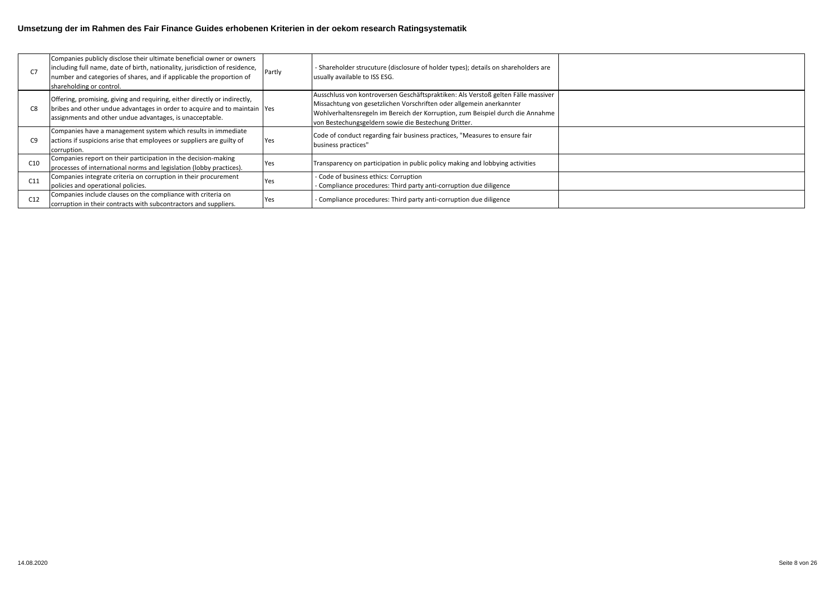| C <sub>7</sub> | Companies publicly disclose their ultimate beneficial owner or owners<br>including full name, date of birth, nationality, jurisdiction of residence,<br>number and categories of shares, and if applicable the proportion of<br>shareholding or control. | Partly | - Shareholder strucuture (disclosure of holder types); details on shareholders are<br>usually available to ISS ESG.                                                                                                                                                                                 |  |
|----------------|----------------------------------------------------------------------------------------------------------------------------------------------------------------------------------------------------------------------------------------------------------|--------|-----------------------------------------------------------------------------------------------------------------------------------------------------------------------------------------------------------------------------------------------------------------------------------------------------|--|
| C8             | Offering, promising, giving and requiring, either directly or indirectly,<br>bribes and other undue advantages in order to acquire and to maintain  Yes<br>assignments and other undue advantages, is unacceptable.                                      |        | Ausschluss von kontroversen Geschäftspraktiken: Als Verstoß gelten Fälle massiver<br>Missachtung von gesetzlichen Vorschriften oder allgemein anerkannter<br>Wohlverhaltensregeln im Bereich der Korruption, zum Beispiel durch die Annahme<br>von Bestechungsgeldern sowie die Bestechung Dritter. |  |
| C <sub>9</sub> | Companies have a management system which results in immediate<br>actions if suspicions arise that employees or suppliers are guilty of<br>corruption.                                                                                                    | Yes    | Code of conduct regarding fair business practices, "Measures to ensure fair<br>business practices"                                                                                                                                                                                                  |  |
| C10            | Companies report on their participation in the decision-making<br>processes of international norms and legislation (lobby practices).                                                                                                                    | Yes    | Transparency on participation in public policy making and lobbying activities                                                                                                                                                                                                                       |  |
| C11            | Companies integrate criteria on corruption in their procurement<br>policies and operational policies.                                                                                                                                                    | Yes    | - Code of business ethics: Corruption<br>- Compliance procedures: Third party anti-corruption due diligence                                                                                                                                                                                         |  |
| C12            | Companies include clauses on the compliance with criteria on<br>corruption in their contracts with subcontractors and suppliers.                                                                                                                         | res    | - Compliance procedures: Third party anti-corruption due diligence                                                                                                                                                                                                                                  |  |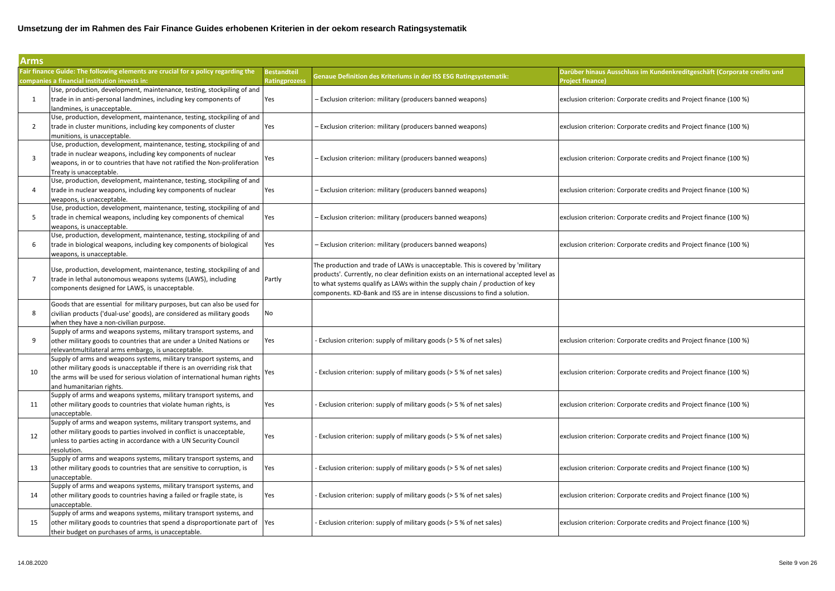| Arms |                                                                                                                                                                                                                                                          |                    |                                                                                                                                                                                                                                                                                                                                       |                                                                          |  |
|------|----------------------------------------------------------------------------------------------------------------------------------------------------------------------------------------------------------------------------------------------------------|--------------------|---------------------------------------------------------------------------------------------------------------------------------------------------------------------------------------------------------------------------------------------------------------------------------------------------------------------------------------|--------------------------------------------------------------------------|--|
|      | Fair finance Guide: The following elements are crucial for a policy regarding the                                                                                                                                                                        | <b>Bestandteil</b> | <b>Genaue Definition des Kriteriums in der ISS ESG Ratingsystematik:</b>                                                                                                                                                                                                                                                              | Darüber hinaus Ausschluss im Kundenkreditgeschäft (Corporate credits und |  |
|      | companies a financial institution invests in:                                                                                                                                                                                                            | Ratingprozess      |                                                                                                                                                                                                                                                                                                                                       | <b>Project finance)</b>                                                  |  |
| 1    | Use, production, development, maintenance, testing, stockpiling of and<br>trade in in anti-personal landmines, including key components of<br>landmines, is unacceptable.                                                                                | Yes                | - Exclusion criterion: military (producers banned weapons)                                                                                                                                                                                                                                                                            | exclusion criterion: Corporate credits and Project finance (100 %)       |  |
| 2    | Use, production, development, maintenance, testing, stockpiling of and<br>trade in cluster munitions, including key components of cluster<br>munitions, is unacceptable.                                                                                 | Yes                | - Exclusion criterion: military (producers banned weapons)                                                                                                                                                                                                                                                                            | exclusion criterion: Corporate credits and Project finance (100 %)       |  |
| 3    | Use, production, development, maintenance, testing, stockpiling of and<br>trade in nuclear weapons, including key components of nuclear<br>weapons, in or to countries that have not ratified the Non-proliferation<br>Treaty is unacceptable.           | Yes                | - Exclusion criterion: military (producers banned weapons)                                                                                                                                                                                                                                                                            | exclusion criterion: Corporate credits and Project finance (100 %)       |  |
| 4    | Use, production, development, maintenance, testing, stockpiling of and<br>trade in nuclear weapons, including key components of nuclear<br>weapons, is unacceptable.                                                                                     | Yes                | - Exclusion criterion: military (producers banned weapons)                                                                                                                                                                                                                                                                            | exclusion criterion: Corporate credits and Project finance (100 %)       |  |
| 5    | Use, production, development, maintenance, testing, stockpiling of and<br>trade in chemical weapons, including key components of chemical<br>weapons, is unacceptable.                                                                                   | Yes                | - Exclusion criterion: military (producers banned weapons)                                                                                                                                                                                                                                                                            | exclusion criterion: Corporate credits and Project finance (100 %)       |  |
| 6    | Use, production, development, maintenance, testing, stockpiling of and<br>trade in biological weapons, including key components of biological<br>weapons, is unacceptable.                                                                               | Yes                | - Exclusion criterion: military (producers banned weapons)                                                                                                                                                                                                                                                                            | exclusion criterion: Corporate credits and Project finance (100 %)       |  |
| 7    | Use, production, development, maintenance, testing, stockpiling of and<br>trade in lethal autonomous weapons systems (LAWS), including<br>components designed for LAWS, is unacceptable.                                                                 | Partly             | The production and trade of LAWs is unacceptable. This is covered by 'military<br>products'. Currently, no clear definition exists on an international accepted level as<br>to what systems qualify as LAWs within the supply chain / production of key<br>components. KD-Bank and ISS are in intense discussions to find a solution. |                                                                          |  |
| 8    | Goods that are essential for military purposes, but can also be used for<br>civilian products ('dual-use' goods), are considered as military goods<br>when they have a non-civilian purpose.                                                             | No                 |                                                                                                                                                                                                                                                                                                                                       |                                                                          |  |
| 9    | Supply of arms and weapons systems, military transport systems, and<br>other military goods to countries that are under a United Nations or<br>relevantmultilateral arms embargo, is unacceptable.                                                       | Yes                | Exclusion criterion: supply of military goods (> 5 % of net sales)                                                                                                                                                                                                                                                                    | exclusion criterion: Corporate credits and Project finance (100 %)       |  |
| 10   | Supply of arms and weapons systems, military transport systems, and<br>other military goods is unacceptable if there is an overriding risk that<br>the arms will be used for serious violation of international human rights<br>and humanitarian rights. | Yes                | Exclusion criterion: supply of military goods (> 5 % of net sales)                                                                                                                                                                                                                                                                    | exclusion criterion: Corporate credits and Project finance (100 %)       |  |
| 11   | Supply of arms and weapons systems, military transport systems, and<br>other military goods to countries that violate human rights, is<br>unacceptable.                                                                                                  | Yes                | Exclusion criterion: supply of military goods (> 5 % of net sales)                                                                                                                                                                                                                                                                    | exclusion criterion: Corporate credits and Project finance (100 %)       |  |
| 12   | Supply of arms and weapon systems, military transport systems, and<br>other military goods to parties involved in conflict is unacceptable,<br>unless to parties acting in accordance with a UN Security Council<br>resolution.                          | Yes                | Exclusion criterion: supply of military goods (> 5 % of net sales)                                                                                                                                                                                                                                                                    | exclusion criterion: Corporate credits and Project finance (100 %)       |  |
| 13   | Supply of arms and weapons systems, military transport systems, and<br>other military goods to countries that are sensitive to corruption, is<br>unacceptable.                                                                                           | Yes                | Exclusion criterion: supply of military goods (> 5 % of net sales)                                                                                                                                                                                                                                                                    | exclusion criterion: Corporate credits and Project finance (100 %)       |  |
| 14   | Supply of arms and weapons systems, military transport systems, and<br>other military goods to countries having a failed or fragile state, is<br>unacceptable                                                                                            | Yes                | Exclusion criterion: supply of military goods (> 5 % of net sales)                                                                                                                                                                                                                                                                    | exclusion criterion: Corporate credits and Project finance (100 %)       |  |
| 15   | Supply of arms and weapons systems, military transport systems, and<br>other military goods to countries that spend a disproportionate part of<br>their budget on purchases of arms, is unacceptable.                                                    | Yes                | - Exclusion criterion: supply of military goods (> 5 % of net sales)                                                                                                                                                                                                                                                                  | exclusion criterion: Corporate credits and Project finance (100 %)       |  |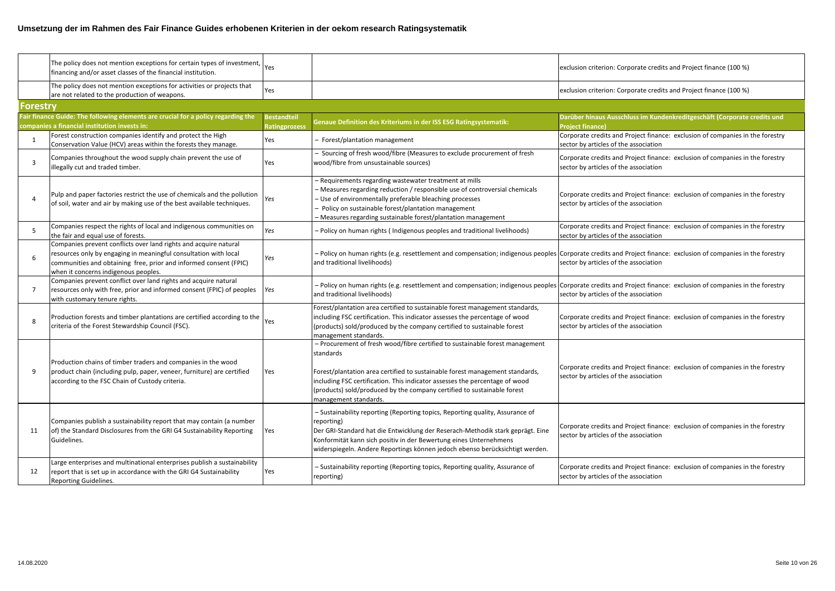|                | The policy does not mention exceptions for certain types of investment,<br>financing and/or asset classes of the financial institution.                                                                                                           | Yes                                 |                                                                                                                                                                                                                                                                                                                                                              | exclusion criterion: Corporate credits and Project finance (100 %)                                                     |
|----------------|---------------------------------------------------------------------------------------------------------------------------------------------------------------------------------------------------------------------------------------------------|-------------------------------------|--------------------------------------------------------------------------------------------------------------------------------------------------------------------------------------------------------------------------------------------------------------------------------------------------------------------------------------------------------------|------------------------------------------------------------------------------------------------------------------------|
|                | The policy does not mention exceptions for activities or projects that<br>are not related to the production of weapons.                                                                                                                           | Yes                                 |                                                                                                                                                                                                                                                                                                                                                              | exclusion criterion: Corporate credits and Project finance (100 %)                                                     |
| Forestrv       |                                                                                                                                                                                                                                                   |                                     |                                                                                                                                                                                                                                                                                                                                                              |                                                                                                                        |
|                | Fair finance Guide: The following elements are crucial for a policy regarding the<br>companies a financial institution invests in:                                                                                                                | <b>Bestandteil</b><br>Ratingprozess | Genaue Definition des Kriteriums in der ISS ESG Ratingsystematik:                                                                                                                                                                                                                                                                                            | Darüber hinaus Ausschluss im Kundenkreditgeschäft (Corporate credits und<br><b>Project finance)</b>                    |
| 1              | Forest construction companies identify and protect the High<br>Conservation Value (HCV) areas within the forests they manage.                                                                                                                     | Yes                                 | - Forest/plantation management                                                                                                                                                                                                                                                                                                                               | Corporate credits and Project finance: exclusion of companies in the forestry<br>sector by articles of the association |
| 3              | Companies throughout the wood supply chain prevent the use of<br>illegally cut and traded timber.                                                                                                                                                 | Yes                                 | - Sourcing of fresh wood/fibre (Measures to exclude procurement of fresh<br>wood/fibre from unsustainable sources)                                                                                                                                                                                                                                           | Corporate credits and Project finance: exclusion of companies in the forestry<br>sector by articles of the association |
| $\overline{4}$ | Pulp and paper factories restrict the use of chemicals and the pollution<br>of soil, water and air by making use of the best available techniques.                                                                                                | Yes                                 | - Requirements regarding wastewater treatment at mills<br>- Measures regarding reduction / responsible use of controversial chemicals<br>- Use of environmentally preferable bleaching processes<br>- Policy on sustainable forest/plantation management<br>- Measures regarding sustainable forest/plantation management                                    | Corporate credits and Project finance: exclusion of companies in the forestry<br>sector by articles of the association |
| 5              | Companies respect the rights of local and indigenous communities on<br>the fair and equal use of forests.                                                                                                                                         | Yes                                 | - Policy on human rights (Indigenous peoples and traditional livelihoods)                                                                                                                                                                                                                                                                                    | Corporate credits and Project finance: exclusion of companies in the forestry<br>sector by articles of the association |
| 6              | Companies prevent conflicts over land rights and acquire natural<br>resources only by engaging in meaningful consultation with local<br>communities and obtaining free, prior and informed consent (FPIC)<br>when it concerns indigenous peoples. | Yes                                 | - Policy on human rights (e.g. resettlement and compensation; indigenous peoples Corporate credits and Project finance: exclusion of companies in the forestry<br>and traditional livelihoods)                                                                                                                                                               | sector by articles of the association                                                                                  |
| 7              | Companies prevent conflict over land rights and acquire natural<br>resources only with free, prior and informed consent (FPIC) of peoples<br>with customary tenure rights.                                                                        | Yes                                 | - Policy on human rights (e.g. resettlement and compensation; indigenous peoples Corporate credits and Project finance: exclusion of companies in the forestry<br>and traditional livelihoods)                                                                                                                                                               | sector by articles of the association                                                                                  |
| 8              | Production forests and timber plantations are certified according to the<br>criteria of the Forest Stewardship Council (FSC).                                                                                                                     | Yes                                 | Forest/plantation area certified to sustainable forest management standards,<br>including FSC certification. This indicator assesses the percentage of wood<br>(products) sold/produced by the company certified to sustainable forest<br>management standards.                                                                                              | Corporate credits and Project finance: exclusion of companies in the forestry<br>sector by articles of the association |
| $\mathsf{q}$   | Production chains of timber traders and companies in the wood<br>product chain (including pulp, paper, veneer, furniture) are certified<br>according to the FSC Chain of Custody criteria.                                                        | Yes                                 | - Procurement of fresh wood/fibre certified to sustainable forest management<br>standards<br>Forest/plantation area certified to sustainable forest management standards,<br>including FSC certification. This indicator assesses the percentage of wood<br>(products) sold/produced by the company certified to sustainable forest<br>management standards. | Corporate credits and Project finance: exclusion of companies in the forestry<br>sector by articles of the association |
| 11             | Companies publish a sustainability report that may contain (a number<br>of) the Standard Disclosures from the GRI G4 Sustainability Reporting<br>Guidelines.                                                                                      | Yes                                 | - Sustainability reporting (Reporting topics, Reporting quality, Assurance of<br>reporting)<br>Der GRI-Standard hat die Entwicklung der Reserach-Methodik stark geprägt. Eine<br>Konformität kann sich positiv in der Bewertung eines Unternehmens<br>widerspiegeln. Andere Reportings können jedoch ebenso berücksichtigt werden.                           | Corporate credits and Project finance: exclusion of companies in the forestry<br>sector by articles of the association |
| 12             | Large enterprises and multinational enterprises publish a sustainability<br>report that is set up in accordance with the GRI G4 Sustainability<br>Reporting Guidelines.                                                                           | Yes                                 | - Sustainability reporting (Reporting topics, Reporting quality, Assurance of<br>reporting)                                                                                                                                                                                                                                                                  | Corporate credits and Project finance: exclusion of companies in the forestry<br>sector by articles of the association |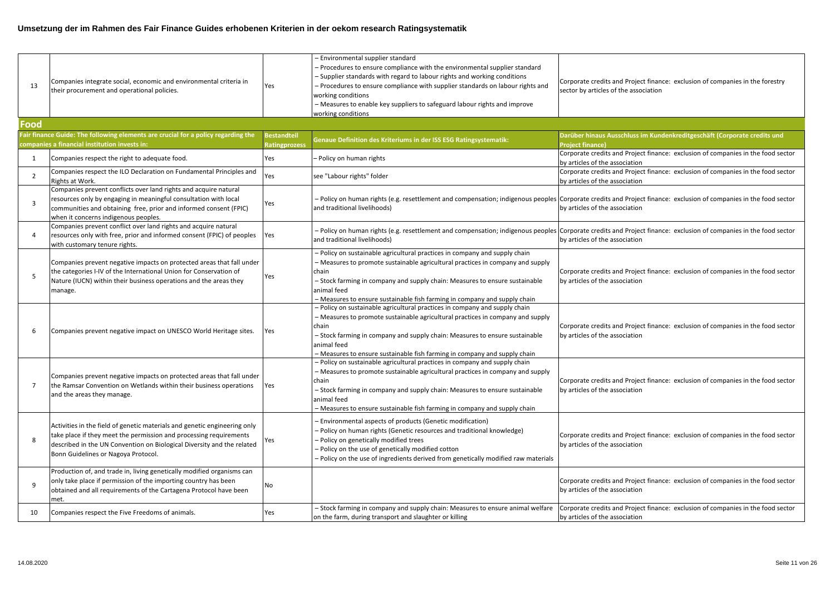| 13             | Companies integrate social, economic and environmental criteria in<br>their procurement and operational policies.                                                                                                                                                | Yes                 | - Environmental supplier standard<br>- Procedures to ensure compliance with the environmental supplier standard<br>- Supplier standards with regard to labour rights and working conditions<br>- Procedures to ensure compliance with supplier standards on labour rights and<br>working conditions<br>- Measures to enable key suppliers to safeguard labour rights and improve<br>working conditions | Corporate credits and Project finance: exclusion of companies in the forestry<br>sector by articles of the association |
|----------------|------------------------------------------------------------------------------------------------------------------------------------------------------------------------------------------------------------------------------------------------------------------|---------------------|--------------------------------------------------------------------------------------------------------------------------------------------------------------------------------------------------------------------------------------------------------------------------------------------------------------------------------------------------------------------------------------------------------|------------------------------------------------------------------------------------------------------------------------|
| Food           |                                                                                                                                                                                                                                                                  |                     |                                                                                                                                                                                                                                                                                                                                                                                                        |                                                                                                                        |
|                | Fair finance Guide: The following elements are crucial for a policy regarding the                                                                                                                                                                                | <b>Bestandteil</b>  | Genaue Definition des Kriteriums in der ISS ESG Ratingsystematik:                                                                                                                                                                                                                                                                                                                                      | Darüber hinaus Ausschluss im Kundenkreditgeschäft (Corporate credits und                                               |
|                | companies a financial institution invests in:                                                                                                                                                                                                                    | <b>atingprozess</b> |                                                                                                                                                                                                                                                                                                                                                                                                        | <b>Project finance</b>                                                                                                 |
| 1              | Companies respect the right to adequate food.                                                                                                                                                                                                                    | Yes                 | - Policy on human rights                                                                                                                                                                                                                                                                                                                                                                               | Corporate credits and Project finance: exclusion of companies in the food sector<br>by articles of the association     |
| $\overline{2}$ | Companies respect the ILO Declaration on Fundamental Principles and<br>Rights at Work.                                                                                                                                                                           | Yes                 | see "Labour rights" folder                                                                                                                                                                                                                                                                                                                                                                             | Corporate credits and Project finance: exclusion of companies in the food sector<br>by articles of the association     |
| $\overline{3}$ | Companies prevent conflicts over land rights and acquire natural<br>resources only by engaging in meaningful consultation with local<br>communities and obtaining free, prior and informed consent (FPIC)<br>when it concerns indigenous peoples.                | Yes                 | - Policy on human rights (e.g. resettlement and compensation; indigenous peoples Corporate credits and Project finance: exclusion of companies in the food sector<br>and traditional livelihoods)                                                                                                                                                                                                      | by articles of the association                                                                                         |
| 4              | Companies prevent conflict over land rights and acquire natural<br>resources only with free, prior and informed consent (FPIC) of peoples<br>with customary tenure rights.                                                                                       | Yes                 | - Policy on human rights (e.g. resettlement and compensation; indigenous peoples Corporate credits and Project finance: exclusion of companies in the food sector<br>and traditional livelihoods)                                                                                                                                                                                                      | by articles of the association                                                                                         |
| 5              | Companies prevent negative impacts on protected areas that fall under<br>the categories I-IV of the International Union for Conservation of<br>Nature (IUCN) within their business operations and the areas they<br>manage.                                      | Yes                 | - Policy on sustainable agricultural practices in company and supply chain<br>- Measures to promote sustainable agricultural practices in company and supply<br>chain<br>- Stock farming in company and supply chain: Measures to ensure sustainable<br>animal feed<br>- Measures to ensure sustainable fish farming in company and supply chain                                                       | Corporate credits and Project finance: exclusion of companies in the food sector<br>by articles of the association     |
| 6              | Companies prevent negative impact on UNESCO World Heritage sites.                                                                                                                                                                                                | Yes                 | - Policy on sustainable agricultural practices in company and supply chain<br>- Measures to promote sustainable agricultural practices in company and supply<br>chain<br>- Stock farming in company and supply chain: Measures to ensure sustainable<br>animal feed<br>- Measures to ensure sustainable fish farming in company and supply chain                                                       | Corporate credits and Project finance: exclusion of companies in the food sector<br>by articles of the association     |
| $\overline{7}$ | Companies prevent negative impacts on protected areas that fall under<br>the Ramsar Convention on Wetlands within their business operations<br>and the areas they manage.                                                                                        | Yes                 | - Policy on sustainable agricultural practices in company and supply chain<br>- Measures to promote sustainable agricultural practices in company and supply<br>chain<br>- Stock farming in company and supply chain: Measures to ensure sustainable<br>animal feed<br>- Measures to ensure sustainable fish farming in company and supply chain                                                       | Corporate credits and Project finance: exclusion of companies in the food sector<br>by articles of the association     |
| 8              | Activities in the field of genetic materials and genetic engineering only<br>take place if they meet the permission and processing requirements<br>described in the UN Convention on Biological Diversity and the related<br>Bonn Guidelines or Nagoya Protocol. | Yes                 | - Environmental aspects of products (Genetic modification)<br>- Policy on human rights (Genetic resources and traditional knowledge)<br>- Policy on genetically modified trees<br>- Policy on the use of genetically modified cotton<br>- Policy on the use of ingredients derived from genetically modified raw materials                                                                             | Corporate credits and Project finance: exclusion of companies in the food sector<br>by articles of the association     |
| 9              | Production of, and trade in, living genetically modified organisms can<br>only take place if permission of the importing country has been<br>obtained and all requirements of the Cartagena Protocol have been<br>met.                                           | No                  |                                                                                                                                                                                                                                                                                                                                                                                                        | Corporate credits and Project finance: exclusion of companies in the food sector<br>by articles of the association     |
| 10             | Companies respect the Five Freedoms of animals.                                                                                                                                                                                                                  | Yes                 | - Stock farming in company and supply chain: Measures to ensure animal welfare<br>on the farm, during transport and slaughter or killing                                                                                                                                                                                                                                                               | Corporate credits and Project finance: exclusion of companies in the food sector<br>by articles of the association     |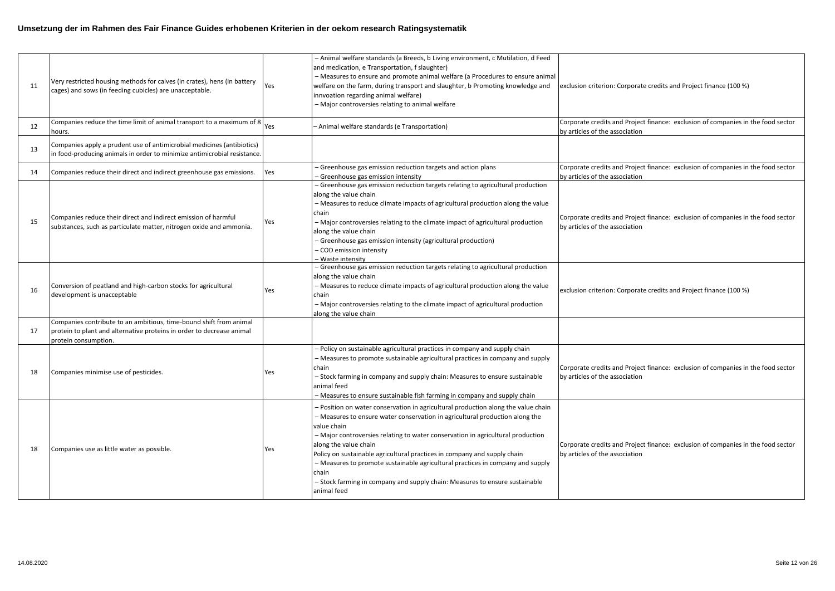| 11 | Very restricted housing methods for calves (in crates), hens (in battery<br>cages) and sows (in feeding cubicles) are unacceptable.                                 | Yes | - Animal welfare standards (a Breeds, b Living environment, c Mutilation, d Feed<br>and medication, e Transportation, f slaughter)<br>- Measures to ensure and promote animal welfare (a Procedures to ensure animal<br>welfare on the farm, during transport and slaughter, b Promoting knowledge and<br>innvoation regarding animal welfare)<br>- Major controversies relating to animal welfare                                                                                                                                                                | exclusion criterion: Corporate credits and Project finance (100 %)                                                 |
|----|---------------------------------------------------------------------------------------------------------------------------------------------------------------------|-----|-------------------------------------------------------------------------------------------------------------------------------------------------------------------------------------------------------------------------------------------------------------------------------------------------------------------------------------------------------------------------------------------------------------------------------------------------------------------------------------------------------------------------------------------------------------------|--------------------------------------------------------------------------------------------------------------------|
| 12 | Companies reduce the time limit of animal transport to a maximum of 8<br>hours.                                                                                     | Yes | - Animal welfare standards (e Transportation)                                                                                                                                                                                                                                                                                                                                                                                                                                                                                                                     | Corporate credits and Project finance: exclusion of companies in the food sector<br>by articles of the association |
| 13 | Companies apply a prudent use of antimicrobial medicines (antibiotics)<br>in food-producing animals in order to minimize antimicrobial resistance.                  |     |                                                                                                                                                                                                                                                                                                                                                                                                                                                                                                                                                                   |                                                                                                                    |
| 14 | Companies reduce their direct and indirect greenhouse gas emissions.                                                                                                | Yes | - Greenhouse gas emission reduction targets and action plans<br>Greenhouse gas emission intensity                                                                                                                                                                                                                                                                                                                                                                                                                                                                 | Corporate credits and Project finance: exclusion of companies in the food sector<br>by articles of the association |
| 15 | Companies reduce their direct and indirect emission of harmful<br>substances, such as particulate matter, nitrogen oxide and ammonia.                               | Yes | - Greenhouse gas emission reduction targets relating to agricultural production<br>along the value chain<br>- Measures to reduce climate impacts of agricultural production along the value<br>chain<br>- Major controversies relating to the climate impact of agricultural production<br>along the value chain<br>- Greenhouse gas emission intensity (agricultural production)<br>- COD emission intensity<br>- Waste intensity                                                                                                                                | Corporate credits and Project finance: exclusion of companies in the food sector<br>by articles of the association |
| 16 | Conversion of peatland and high-carbon stocks for agricultural<br>development is unacceptable                                                                       | Yes | - Greenhouse gas emission reduction targets relating to agricultural production<br>along the value chain<br>- Measures to reduce climate impacts of agricultural production along the value<br>chain<br>- Major controversies relating to the climate impact of agricultural production<br>along the value chain                                                                                                                                                                                                                                                  | exclusion criterion: Corporate credits and Project finance (100 %)                                                 |
| 17 | Companies contribute to an ambitious, time-bound shift from animal<br>protein to plant and alternative proteins in order to decrease animal<br>protein consumption. |     |                                                                                                                                                                                                                                                                                                                                                                                                                                                                                                                                                                   |                                                                                                                    |
| 18 | Companies minimise use of pesticides.                                                                                                                               | Yes | - Policy on sustainable agricultural practices in company and supply chain<br>- Measures to promote sustainable agricultural practices in company and supply<br>chain<br>- Stock farming in company and supply chain: Measures to ensure sustainable<br>animal feed<br>- Measures to ensure sustainable fish farming in company and supply chain                                                                                                                                                                                                                  | Corporate credits and Project finance: exclusion of companies in the food sector<br>by articles of the association |
| 18 | Companies use as little water as possible.                                                                                                                          | Yes | - Position on water conservation in agricultural production along the value chain<br>- Measures to ensure water conservation in agricultural production along the<br>value chain<br>- Major controversies relating to water conservation in agricultural production<br>along the value chain<br>Policy on sustainable agricultural practices in company and supply chain<br>- Measures to promote sustainable agricultural practices in company and supply<br>chain<br>- Stock farming in company and supply chain: Measures to ensure sustainable<br>animal feed | Corporate credits and Project finance: exclusion of companies in the food sector<br>by articles of the association |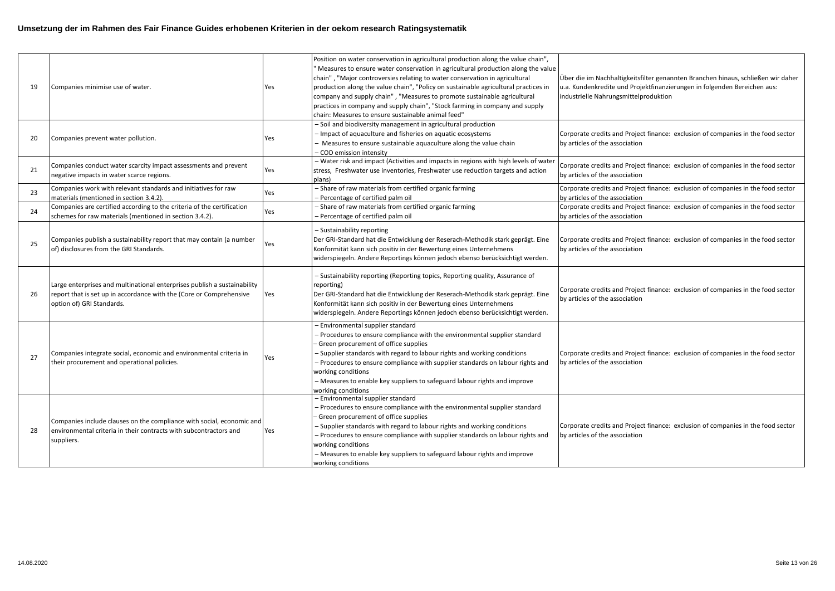| 19 | Companies minimise use of water.                                                                                                                                             | Yes | Position on water conservation in agricultural production along the value chain",<br>Measures to ensure water conservation in agricultural production along the value<br>chain", "Major controversies relating to water conservation in agricultural<br>production along the value chain", "Policy on sustainable agricultural practices in<br>company and supply chain", "Measures to promote sustainable agricultural<br>practices in company and supply chain", "Stock farming in company and supply<br>chain: Measures to ensure sustainable animal feed" | Über die im Nachhaltigkeitsfilter genannten Branchen hinaus, schließen wir daher<br>u.a. Kundenkredite und Projektfinanzierungen in folgenden Bereichen aus:<br>industrielle Nahrungsmittelproduktion |
|----|------------------------------------------------------------------------------------------------------------------------------------------------------------------------------|-----|---------------------------------------------------------------------------------------------------------------------------------------------------------------------------------------------------------------------------------------------------------------------------------------------------------------------------------------------------------------------------------------------------------------------------------------------------------------------------------------------------------------------------------------------------------------|-------------------------------------------------------------------------------------------------------------------------------------------------------------------------------------------------------|
| 20 | Companies prevent water pollution.                                                                                                                                           | Yes | - Soil and biodiversity management in agricultural production<br>- Impact of aquaculture and fisheries on aquatic ecosystems<br>- Measures to ensure sustainable aquaculture along the value chain<br>- COD emission intensity                                                                                                                                                                                                                                                                                                                                | Corporate credits and Project finance: exclusion of companies in the food sector<br>by articles of the association                                                                                    |
| 21 | Companies conduct water scarcity impact assessments and prevent<br>negative impacts in water scarce regions.                                                                 | Yes | - Water risk and impact (Activities and impacts in regions with high levels of water<br>stress, Freshwater use inventories, Freshwater use reduction targets and action<br>plans)                                                                                                                                                                                                                                                                                                                                                                             | Corporate credits and Project finance: exclusion of companies in the food sector<br>by articles of the association                                                                                    |
| 23 | Companies work with relevant standards and initiatives for raw<br>materials (mentioned in section 3.4.2).                                                                    | Yes | - Share of raw materials from certified organic farming<br>- Percentage of certified palm oil                                                                                                                                                                                                                                                                                                                                                                                                                                                                 | Corporate credits and Project finance: exclusion of companies in the food sector<br>by articles of the association                                                                                    |
| 24 | Companies are certified according to the criteria of the certification<br>schemes for raw materials (mentioned in section 3.4.2).                                            | Yes | - Share of raw materials from certified organic farming<br>- Percentage of certified palm oil                                                                                                                                                                                                                                                                                                                                                                                                                                                                 | Corporate credits and Project finance: exclusion of companies in the food sector<br>by articles of the association                                                                                    |
| 25 | Companies publish a sustainability report that may contain (a number<br>of) disclosures from the GRI Standards.                                                              | Yes | - Sustainability reporting<br>Der GRI-Standard hat die Entwicklung der Reserach-Methodik stark geprägt. Eine<br>Konformität kann sich positiv in der Bewertung eines Unternehmens<br>widerspiegeln. Andere Reportings können jedoch ebenso berücksichtigt werden.                                                                                                                                                                                                                                                                                             | Corporate credits and Project finance: exclusion of companies in the food sector<br>by articles of the association                                                                                    |
| 26 | Large enterprises and multinational enterprises publish a sustainability<br>report that is set up in accordance with the (Core or Comprehensive<br>option of) GRI Standards. | Yes | - Sustainability reporting (Reporting topics, Reporting quality, Assurance of<br>reporting)<br>Der GRI-Standard hat die Entwicklung der Reserach-Methodik stark geprägt. Eine<br>Konformität kann sich positiv in der Bewertung eines Unternehmens<br>widerspiegeln. Andere Reportings können jedoch ebenso berücksichtigt werden.                                                                                                                                                                                                                            | Corporate credits and Project finance: exclusion of companies in the food sector<br>by articles of the association                                                                                    |
| 27 | Companies integrate social, economic and environmental criteria in<br>their procurement and operational policies.                                                            | Yes | - Environmental supplier standard<br>- Procedures to ensure compliance with the environmental supplier standard<br>Green procurement of office supplies<br>- Supplier standards with regard to labour rights and working conditions<br>- Procedures to ensure compliance with supplier standards on labour rights and<br>working conditions<br>- Measures to enable key suppliers to safeguard labour rights and improve<br>working conditions                                                                                                                | Corporate credits and Project finance: exclusion of companies in the food sector<br>by articles of the association                                                                                    |
| 28 | Companies include clauses on the compliance with social, economic and<br>environmental criteria in their contracts with subcontractors and<br>suppliers.                     | Yes | - Environmental supplier standard<br>- Procedures to ensure compliance with the environmental supplier standard<br>Green procurement of office supplies<br>- Supplier standards with regard to labour rights and working conditions<br>- Procedures to ensure compliance with supplier standards on labour rights and<br>working conditions<br>- Measures to enable key suppliers to safeguard labour rights and improve<br>working conditions                                                                                                                | Corporate credits and Project finance: exclusion of companies in the food sector<br>by articles of the association                                                                                    |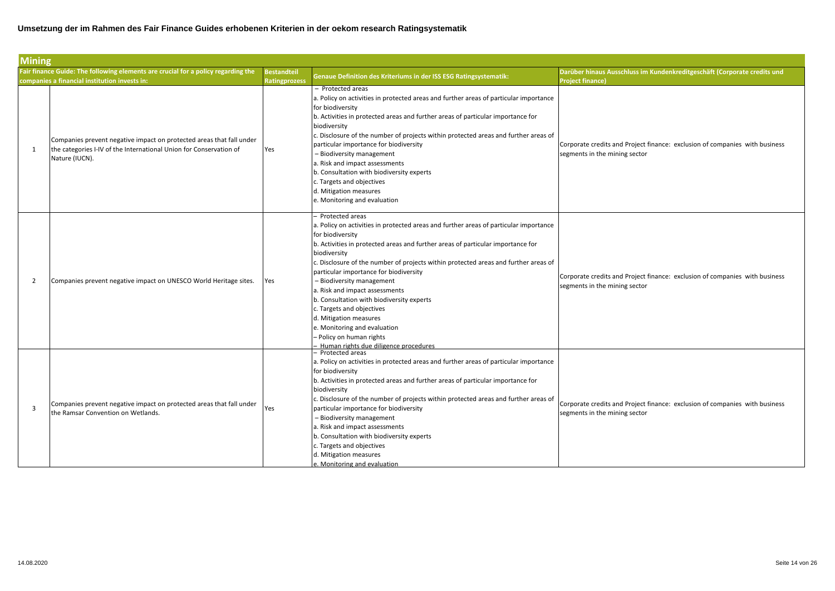|                         | <b>Mining</b>                                                                                                                                                |                                     |                                                                                                                                                                                                                                                                                                                                                                                                                                                                                                                                                                                                                                              |                                                                                                              |  |  |
|-------------------------|--------------------------------------------------------------------------------------------------------------------------------------------------------------|-------------------------------------|----------------------------------------------------------------------------------------------------------------------------------------------------------------------------------------------------------------------------------------------------------------------------------------------------------------------------------------------------------------------------------------------------------------------------------------------------------------------------------------------------------------------------------------------------------------------------------------------------------------------------------------------|--------------------------------------------------------------------------------------------------------------|--|--|
|                         | Fair finance Guide: The following elements are crucial for a policy regarding the<br>companies a financial institution invests in:                           | <b>Bestandteil</b><br>Ratingprozess | <b>Genaue Definition des Kriteriums in der ISS ESG Ratingsystematik:</b>                                                                                                                                                                                                                                                                                                                                                                                                                                                                                                                                                                     | Darüber hinaus Ausschluss im Kundenkreditgeschäft (Corporate credits und<br><b>Project finance)</b>          |  |  |
| -1                      | Companies prevent negative impact on protected areas that fall under<br>the categories I-IV of the International Union for Conservation of<br>Nature (IUCN). | Yes                                 | - Protected areas<br>a. Policy on activities in protected areas and further areas of particular importance<br>for biodiversity<br>b. Activities in protected areas and further areas of particular importance for<br>biodiversity<br>c. Disclosure of the number of projects within protected areas and further areas of<br>particular importance for biodiversity<br>- Biodiversity management<br>a. Risk and impact assessments<br>b. Consultation with biodiversity experts<br>c. Targets and objectives<br>d. Mitigation measures<br>e. Monitoring and evaluation                                                                        | Corporate credits and Project finance: exclusion of companies with business<br>segments in the mining sector |  |  |
| 2                       | Companies prevent negative impact on UNESCO World Heritage sites.                                                                                            | Yes                                 | - Protected areas<br>a. Policy on activities in protected areas and further areas of particular importance<br>for biodiversity<br>b. Activities in protected areas and further areas of particular importance for<br>biodiversity<br>c. Disclosure of the number of projects within protected areas and further areas of<br>particular importance for biodiversity<br>- Biodiversity management<br>a. Risk and impact assessments<br>b. Consultation with biodiversity experts<br>c. Targets and objectives<br>d. Mitigation measures<br>e. Monitoring and evaluation<br>- Policy on human rights<br>- Human rights due diligence procedures | Corporate credits and Project finance: exclusion of companies with business<br>segments in the mining sector |  |  |
| $\overline{\mathbf{3}}$ | Companies prevent negative impact on protected areas that fall under<br>the Ramsar Convention on Wetlands.                                                   | Yes                                 | - Protected areas<br>a. Policy on activities in protected areas and further areas of particular importance<br>for biodiversity<br>b. Activities in protected areas and further areas of particular importance for<br>biodiversity<br>c. Disclosure of the number of projects within protected areas and further areas of<br>particular importance for biodiversity<br>- Biodiversity management<br>a. Risk and impact assessments<br>b. Consultation with biodiversity experts<br>c. Targets and objectives<br>d. Mitigation measures<br>e. Monitoring and evaluation                                                                        | Corporate credits and Project finance: exclusion of companies with business<br>segments in the mining sector |  |  |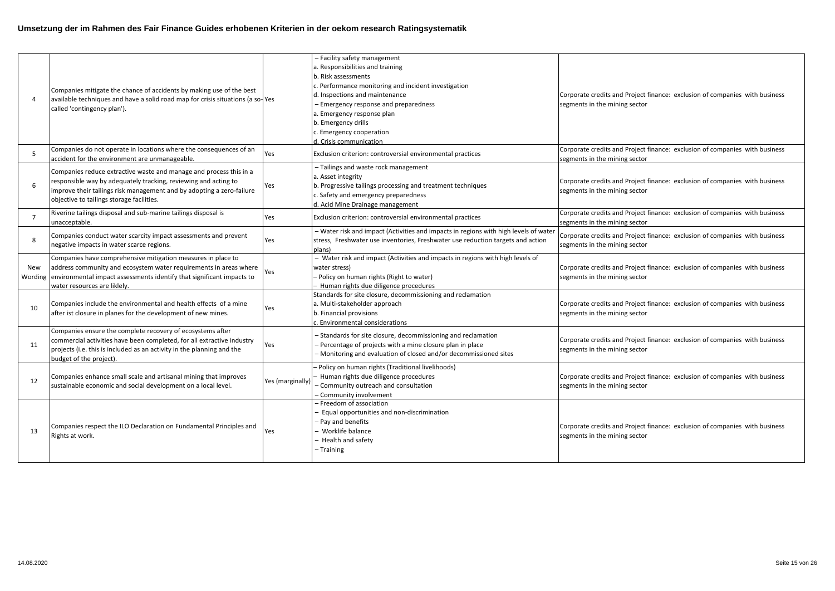| $\overline{4}$ | Companies mitigate the chance of accidents by making use of the best<br>available techniques and have a solid road map for crisis situations (a so-Yes<br>called 'contingency plan').                                                                       |                  | - Facility safety management<br>a. Responsibilities and training<br>b. Risk assessments<br>c. Performance monitoring and incident investigation<br>d. Inspections and maintenance<br>- Emergency response and preparedness<br>a. Emergency response plan<br>b. Emergency drills<br>c. Emergency cooperation<br>d. Crisis communication | Corporate credits and Project finance: exclusion of companies with business<br>segments in the mining sector |
|----------------|-------------------------------------------------------------------------------------------------------------------------------------------------------------------------------------------------------------------------------------------------------------|------------------|----------------------------------------------------------------------------------------------------------------------------------------------------------------------------------------------------------------------------------------------------------------------------------------------------------------------------------------|--------------------------------------------------------------------------------------------------------------|
| -5             | Companies do not operate in locations where the consequences of an<br>accident for the environment are unmanageable.                                                                                                                                        | Yes              | Exclusion criterion: controversial environmental practices                                                                                                                                                                                                                                                                             | Corporate credits and Project finance: exclusion of companies with business<br>segments in the mining sector |
| 6              | Companies reduce extractive waste and manage and process this in a<br>responsible way by adequately tracking, reviewing and acting to<br>improve their tailings risk management and by adopting a zero-failure<br>objective to tailings storage facilities. | Yes              | -Tailings and waste rock management<br>a. Asset integrity<br>b. Progressive tailings processing and treatment techniques<br>c. Safety and emergency preparedness<br>d. Acid Mine Drainage management                                                                                                                                   | Corporate credits and Project finance: exclusion of companies with business<br>segments in the mining sector |
| $\overline{7}$ | Riverine tailings disposal and sub-marine tailings disposal is<br>unacceptable.                                                                                                                                                                             | Yes              | Exclusion criterion: controversial environmental practices                                                                                                                                                                                                                                                                             | Corporate credits and Project finance: exclusion of companies with business<br>segments in the mining sector |
| $\mathbf{g}$   | Companies conduct water scarcity impact assessments and prevent<br>negative impacts in water scarce regions.                                                                                                                                                | Yes              | - Water risk and impact (Activities and impacts in regions with high levels of water<br>stress, Freshwater use inventories, Freshwater use reduction targets and action<br>plans)                                                                                                                                                      | Corporate credits and Project finance: exclusion of companies with business<br>segments in the mining sector |
| New            | Companies have comprehensive mitigation measures in place to<br>address community and ecosystem water requirements in areas where<br>Wording environmental impact assessments identify that significant impacts to<br>water resources are liklely.          | Yes              | - Water risk and impact (Activities and impacts in regions with high levels of<br>water stress)<br>- Policy on human rights (Right to water)<br>- Human rights due diligence procedures                                                                                                                                                | Corporate credits and Project finance: exclusion of companies with business<br>segments in the mining sector |
| 10             | Companies include the environmental and health effects of a mine<br>after ist closure in planes for the development of new mines.                                                                                                                           | Yes              | Standards for site closure, decommissioning and reclamation<br>a. Multi-stakeholder approach<br>b. Financial provisions<br>c. Environmental considerations                                                                                                                                                                             | Corporate credits and Project finance: exclusion of companies with business<br>segments in the mining sector |
| 11             | Companies ensure the complete recovery of ecosystems after<br>commercial activities have been completed, for all extractive industry<br>projects (i.e. this is included as an activity in the planning and the<br>budget of the project).                   | Yes              | - Standards for site closure, decommissioning and reclamation<br>- Percentage of projects with a mine closure plan in place<br>- Monitoring and evaluation of closed and/or decommissioned sites                                                                                                                                       | Corporate credits and Project finance: exclusion of companies with business<br>segments in the mining sector |
| 12             | Companies enhance small scale and artisanal mining that improves<br>sustainable economic and social development on a local level.                                                                                                                           | Yes (marginally) | - Policy on human rights (Traditional livelihoods)<br>Human rights due diligence procedures<br>- Community outreach and consultation<br>- Community involvement                                                                                                                                                                        | Corporate credits and Project finance: exclusion of companies with business<br>segments in the mining sector |
| 13             | Companies respect the ILO Declaration on Fundamental Principles and<br>Rights at work.                                                                                                                                                                      | Yes              | - Freedom of association<br>- Equal opportunities and non-discrimination<br>- Pay and benefits<br>- Worklife balance<br>- Health and safety<br>- Training                                                                                                                                                                              | Corporate credits and Project finance: exclusion of companies with business<br>segments in the mining sector |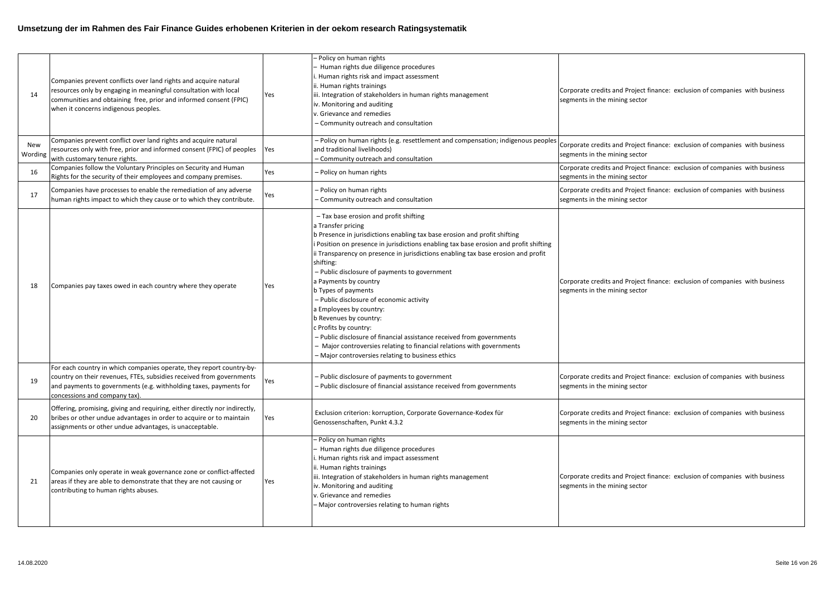| 14             | Companies prevent conflicts over land rights and acquire natural<br>resources only by engaging in meaningful consultation with local<br>communities and obtaining free, prior and informed consent (FPIC)<br>when it concerns indigenous peoples.  | Yes | - Policy on human rights<br>Human rights due diligence procedures<br>. Human rights risk and impact assessment<br>ii. Human rights trainings<br>iii. Integration of stakeholders in human rights management<br>iv. Monitoring and auditing<br>v. Grievance and remedies<br>- Community outreach and consultation                                                                                                                                                                                                                                                                                                                                                                                                                                                        | Corporate credits and Project finance: exclusion of companies with business<br>segments in the mining sector |
|----------------|----------------------------------------------------------------------------------------------------------------------------------------------------------------------------------------------------------------------------------------------------|-----|-------------------------------------------------------------------------------------------------------------------------------------------------------------------------------------------------------------------------------------------------------------------------------------------------------------------------------------------------------------------------------------------------------------------------------------------------------------------------------------------------------------------------------------------------------------------------------------------------------------------------------------------------------------------------------------------------------------------------------------------------------------------------|--------------------------------------------------------------------------------------------------------------|
| New<br>Wording | Companies prevent conflict over land rights and acquire natural<br>resources only with free, prior and informed consent (FPIC) of peoples<br>with customary tenure rights.                                                                         | Yes | - Policy on human rights (e.g. resettlement and compensation; indigenous peoples<br>and traditional livelihoods)<br>- Community outreach and consultation                                                                                                                                                                                                                                                                                                                                                                                                                                                                                                                                                                                                               | Corporate credits and Project finance: exclusion of companies with business<br>segments in the mining sector |
| 16             | Companies follow the Voluntary Principles on Security and Human<br>Rights for the security of their employees and company premises.                                                                                                                | Yes | - Policy on human rights                                                                                                                                                                                                                                                                                                                                                                                                                                                                                                                                                                                                                                                                                                                                                | Corporate credits and Project finance: exclusion of companies with business<br>segments in the mining sector |
| 17             | Companies have processes to enable the remediation of any adverse<br>human rights impact to which they cause or to which they contribute.                                                                                                          | Yes | - Policy on human rights<br>- Community outreach and consultation                                                                                                                                                                                                                                                                                                                                                                                                                                                                                                                                                                                                                                                                                                       | Corporate credits and Project finance: exclusion of companies with business<br>segments in the mining sector |
| 18             | Companies pay taxes owed in each country where they operate                                                                                                                                                                                        | Yes | - Tax base erosion and profit shifting<br>a Transfer pricing<br>b Presence in jurisdictions enabling tax base erosion and profit shifting<br>i Position on presence in jurisdictions enabling tax base erosion and profit shifting<br>ii Transparency on presence in jurisdictions enabling tax base erosion and profit<br>shifting:<br>- Public disclosure of payments to government<br>a Payments by country<br>b Types of payments<br>- Public disclosure of economic activity<br>a Employees by country:<br>b Revenues by country:<br>c Profits by country:<br>- Public disclosure of financial assistance received from governments<br>- Major controversies relating to financial relations with governments<br>- Major controversies relating to business ethics | Corporate credits and Project finance: exclusion of companies with business<br>segments in the mining sector |
| 19             | For each country in which companies operate, they report country-by-<br>country on their revenues, FTEs, subsidies received from governments<br>and payments to governments (e.g. withholding taxes, payments for<br>concessions and company tax). | Yes | - Public disclosure of payments to government<br>- Public disclosure of financial assistance received from governments                                                                                                                                                                                                                                                                                                                                                                                                                                                                                                                                                                                                                                                  | Corporate credits and Project finance: exclusion of companies with business<br>segments in the mining sector |
| 20             | Offering, promising, giving and requiring, either directly nor indirectly,<br>bribes or other undue advantages in order to acquire or to maintain<br>assignments or other undue advantages, is unacceptable.                                       | Yes | Exclusion criterion: korruption, Corporate Governance-Kodex für<br>Genossenschaften, Punkt 4.3.2                                                                                                                                                                                                                                                                                                                                                                                                                                                                                                                                                                                                                                                                        | Corporate credits and Project finance: exclusion of companies with business<br>segments in the mining sector |
| 21             | Companies only operate in weak governance zone or conflict-affected<br>areas if they are able to demonstrate that they are not causing or<br>contributing to human rights abuses.                                                                  | Yes | - Policy on human rights<br>- Human rights due diligence procedures<br>. Human rights risk and impact assessment<br>ii. Human rights trainings<br>iii. Integration of stakeholders in human rights management<br>iv. Monitoring and auditing<br>v. Grievance and remedies<br>- Major controversies relating to human rights                                                                                                                                                                                                                                                                                                                                                                                                                                             | Corporate credits and Project finance: exclusion of companies with business<br>segments in the mining sector |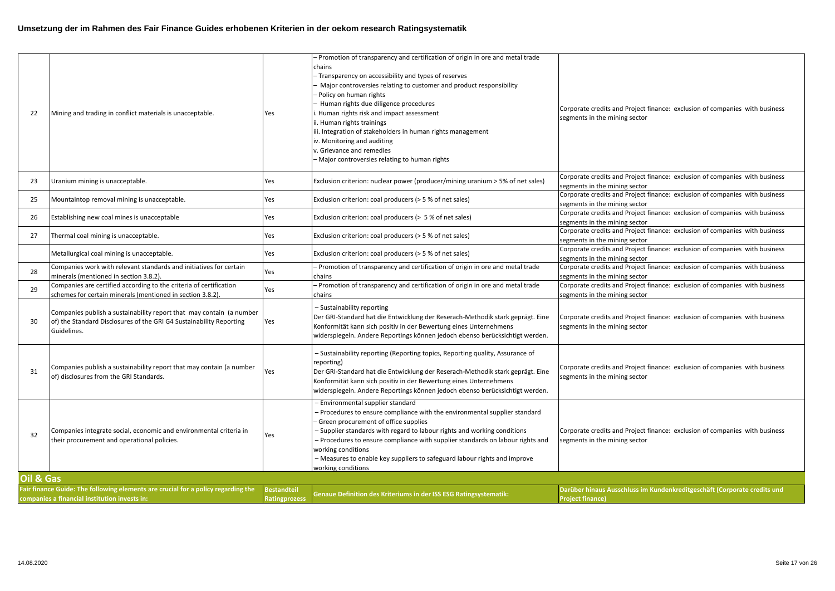| 22        | Mining and trading in conflict materials is unacceptable.                                                                                                  | Yes                                        | - Promotion of transparency and certification of origin in ore and metal trade<br>chains<br>- Transparency on accessibility and types of reserves<br>Major controversies relating to customer and product responsibility<br>Policy on human rights<br>Human rights due diligence procedures<br>Human rights risk and impact assessment<br>ii. Human rights trainings<br>iii. Integration of stakeholders in human rights management<br>iv. Monitoring and auditing<br>v. Grievance and remedies<br>- Major controversies relating to human rights | Corporate credits and Project finance: exclusion of companies with business<br>segments in the mining sector |
|-----------|------------------------------------------------------------------------------------------------------------------------------------------------------------|--------------------------------------------|---------------------------------------------------------------------------------------------------------------------------------------------------------------------------------------------------------------------------------------------------------------------------------------------------------------------------------------------------------------------------------------------------------------------------------------------------------------------------------------------------------------------------------------------------|--------------------------------------------------------------------------------------------------------------|
| 23        | Uranium mining is unacceptable.                                                                                                                            | Yes                                        | Exclusion criterion: nuclear power (producer/mining uranium > 5% of net sales)                                                                                                                                                                                                                                                                                                                                                                                                                                                                    | Corporate credits and Project finance: exclusion of companies with business<br>segments in the mining sector |
| 25        | Mountaintop removal mining is unacceptable.                                                                                                                | Yes                                        | Exclusion criterion: coal producers (> 5 % of net sales)                                                                                                                                                                                                                                                                                                                                                                                                                                                                                          | Corporate credits and Project finance: exclusion of companies with business<br>segments in the mining sector |
| 26        | Establishing new coal mines is unacceptable                                                                                                                | Yes                                        | Exclusion criterion: coal producers (> 5 % of net sales)                                                                                                                                                                                                                                                                                                                                                                                                                                                                                          | Corporate credits and Project finance: exclusion of companies with business<br>segments in the mining sector |
| 27        | Thermal coal mining is unacceptable.                                                                                                                       | Yes                                        | Exclusion criterion: coal producers (> 5 % of net sales)                                                                                                                                                                                                                                                                                                                                                                                                                                                                                          | Corporate credits and Project finance: exclusion of companies with business<br>segments in the mining sector |
|           | Metallurgical coal mining is unacceptable.                                                                                                                 | Yes                                        | Exclusion criterion: coal producers (> 5 % of net sales)                                                                                                                                                                                                                                                                                                                                                                                                                                                                                          | Corporate credits and Project finance: exclusion of companies with business<br>segments in the mining sector |
| 28        | Companies work with relevant standards and initiatives for certain<br>minerals (mentioned in section 3.8.2).                                               | Yes                                        | - Promotion of transparency and certification of origin in ore and metal trade<br>chains                                                                                                                                                                                                                                                                                                                                                                                                                                                          | Corporate credits and Project finance: exclusion of companies with business<br>segments in the mining sector |
| 29        | Companies are certified according to the criteria of certification<br>schemes for certain minerals (mentioned in section 3.8.2).                           | Yes                                        | - Promotion of transparency and certification of origin in ore and metal trade<br>chains                                                                                                                                                                                                                                                                                                                                                                                                                                                          | Corporate credits and Project finance: exclusion of companies with business<br>segments in the mining sector |
| 30        | Companies publish a sustainability report that may contain (a number<br>of) the Standard Disclosures of the GRI G4 Sustainability Reporting<br>Guidelines. | Yes                                        | - Sustainability reporting<br>Der GRI-Standard hat die Entwicklung der Reserach-Methodik stark geprägt. Eine<br>Konformität kann sich positiv in der Bewertung eines Unternehmens<br>widerspiegeln. Andere Reportings können jedoch ebenso berücksichtigt werden.                                                                                                                                                                                                                                                                                 | Corporate credits and Project finance: exclusion of companies with business<br>segments in the mining sector |
| 31        | Companies publish a sustainability report that may contain (a number<br>of) disclosures from the GRI Standards.                                            | Yes                                        | - Sustainability reporting (Reporting topics, Reporting quality, Assurance of<br>reporting)<br>Der GRI-Standard hat die Entwicklung der Reserach-Methodik stark geprägt. Eine<br>Konformität kann sich positiv in der Bewertung eines Unternehmens<br>widerspiegeln. Andere Reportings können jedoch ebenso berücksichtigt werden.                                                                                                                                                                                                                | Corporate credits and Project finance: exclusion of companies with business<br>segments in the mining sector |
| 32        | Companies integrate social, economic and environmental criteria in<br>their procurement and operational policies.                                          | Yes                                        | - Environmental supplier standard<br>- Procedures to ensure compliance with the environmental supplier standard<br>Green procurement of office supplies<br>- Supplier standards with regard to labour rights and working conditions<br>- Procedures to ensure compliance with supplier standards on labour rights and<br>working conditions<br>- Measures to enable key suppliers to safeguard labour rights and improve<br>working conditions                                                                                                    | Corporate credits and Project finance: exclusion of companies with business<br>segments in the mining sector |
| Oil & Gas |                                                                                                                                                            |                                            |                                                                                                                                                                                                                                                                                                                                                                                                                                                                                                                                                   |                                                                                                              |
|           | Fair finance Guide: The following elements are crucial for a policy regarding the<br>companies a financial institution invests in:                         | <b>Bestandteil</b><br><b>Ratingprozess</b> | Genaue Definition des Kriteriums in der ISS ESG Ratingsystematik:                                                                                                                                                                                                                                                                                                                                                                                                                                                                                 | Darüber hinaus Ausschluss im Kundenkreditgeschäft (Corporate credits und<br><b>Project finance)</b>          |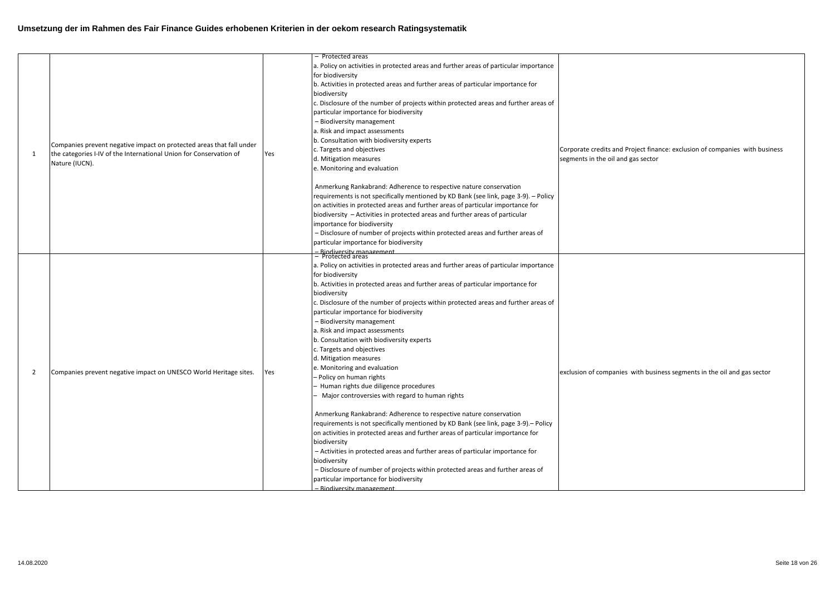| 1              | Companies prevent negative impact on protected areas that fall under<br>the categories I-IV of the International Union for Conservation of<br>Nature (IUCN). | Yes | - Protected areas<br>a. Policy on activities in protected areas and further areas of particular importance<br>for biodiversity<br>b. Activities in protected areas and further areas of particular importance for<br>biodiversity<br>. Disclosure of the number of projects within protected areas and further areas of<br>particular importance for biodiversity<br>- Biodiversity management<br>a. Risk and impact assessments<br>b. Consultation with biodiversity experts<br>c. Targets and objectives<br>d. Mitigation measures<br>e. Monitoring and evaluation<br>Anmerkung Rankabrand: Adherence to respective nature conservation<br>requirements is not specifically mentioned by KD Bank (see link, page 3-9). - Policy<br>on activities in protected areas and further areas of particular importance for<br>biodiversity - Activities in protected areas and further areas of particular<br>importance for biodiversity<br>- Disclosure of number of projects within protected areas and further areas of<br>particular importance for biodiversity                                                                                                                                                                                               | Corporate credits and Project finance: exclusion of companies with business<br>segments in the oil and gas sector |
|----------------|--------------------------------------------------------------------------------------------------------------------------------------------------------------|-----|---------------------------------------------------------------------------------------------------------------------------------------------------------------------------------------------------------------------------------------------------------------------------------------------------------------------------------------------------------------------------------------------------------------------------------------------------------------------------------------------------------------------------------------------------------------------------------------------------------------------------------------------------------------------------------------------------------------------------------------------------------------------------------------------------------------------------------------------------------------------------------------------------------------------------------------------------------------------------------------------------------------------------------------------------------------------------------------------------------------------------------------------------------------------------------------------------------------------------------------------------------------|-------------------------------------------------------------------------------------------------------------------|
| $\overline{2}$ | Companies prevent negative impact on UNESCO World Heritage sites.                                                                                            | Yes | <u>– Biodiversity management.</u><br>– Protected areas<br>a. Policy on activities in protected areas and further areas of particular importance<br>for biodiversity<br>b. Activities in protected areas and further areas of particular importance for<br>biodiversity<br>c. Disclosure of the number of projects within protected areas and further areas of<br>particular importance for biodiversity<br>- Biodiversity management<br>a. Risk and impact assessments<br>b. Consultation with biodiversity experts<br>c. Targets and objectives<br>d. Mitigation measures<br>e. Monitoring and evaluation<br>- Policy on human rights<br>Human rights due diligence procedures<br>Major controversies with regard to human rights<br>Anmerkung Rankabrand: Adherence to respective nature conservation<br>requirements is not specifically mentioned by KD Bank (see link, page 3-9). - Policy<br>on activities in protected areas and further areas of particular importance for<br>biodiversity<br>- Activities in protected areas and further areas of particular importance for<br>biodiversity<br>- Disclosure of number of projects within protected areas and further areas of<br>particular importance for biodiversity<br>- Biodiversity management | exclusion of companies with business segments in the oil and gas sector                                           |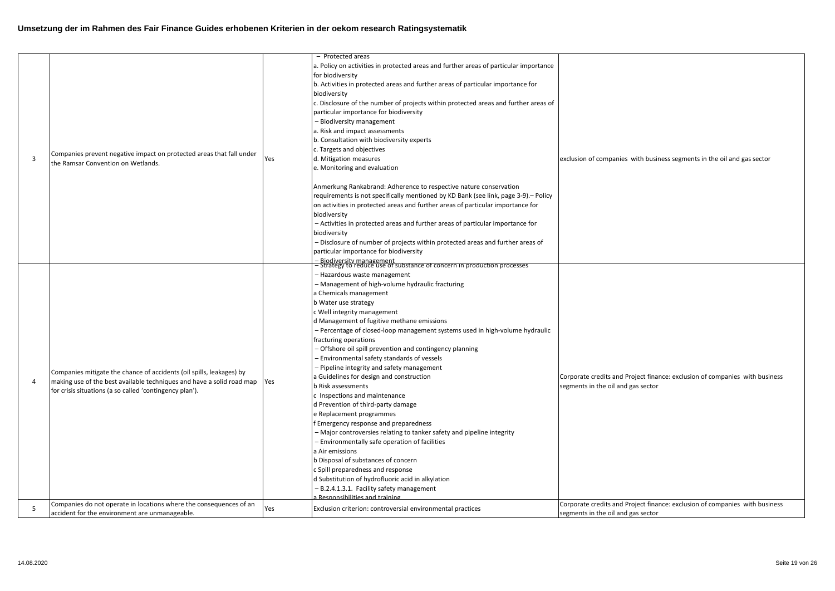|   |                                                                                                                                                                                                              |     | - Protected areas                                                                                                                                                                                                                                                                                                                                                                                                                                                                                                                                                                                                                                                                                                                                                                                                                                                                                                                                                                                                                                                                                                                                                      |                                                                                                                   |
|---|--------------------------------------------------------------------------------------------------------------------------------------------------------------------------------------------------------------|-----|------------------------------------------------------------------------------------------------------------------------------------------------------------------------------------------------------------------------------------------------------------------------------------------------------------------------------------------------------------------------------------------------------------------------------------------------------------------------------------------------------------------------------------------------------------------------------------------------------------------------------------------------------------------------------------------------------------------------------------------------------------------------------------------------------------------------------------------------------------------------------------------------------------------------------------------------------------------------------------------------------------------------------------------------------------------------------------------------------------------------------------------------------------------------|-------------------------------------------------------------------------------------------------------------------|
| 3 | Companies prevent negative impact on protected areas that fall under<br>the Ramsar Convention on Wetlands.                                                                                                   | Yes | a. Policy on activities in protected areas and further areas of particular importance<br>for biodiversity<br>b. Activities in protected areas and further areas of particular importance for<br>biodiversity<br>c. Disclosure of the number of projects within protected areas and further areas of<br>particular importance for biodiversity<br>- Biodiversity management<br>a. Risk and impact assessments<br>b. Consultation with biodiversity experts<br>c. Targets and objectives<br>d. Mitigation measures<br>e. Monitoring and evaluation<br>Anmerkung Rankabrand: Adherence to respective nature conservation<br>requirements is not specifically mentioned by KD Bank (see link, page 3-9). - Policy<br>on activities in protected areas and further areas of particular importance for<br>biodiversity<br>- Activities in protected areas and further areas of particular importance for<br>biodiversity<br>- Disclosure of number of projects within protected areas and further areas of<br>particular importance for biodiversity                                                                                                                         | exclusion of companies with business segments in the oil and gas sector                                           |
| 4 | Companies mitigate the chance of accidents (oil spills, leakages) by<br>making use of the best available techniques and have a solid road map Yes<br>for crisis situations (a so called 'contingency plan'). |     | – Biodiversity management<br>– Strategy to reduce use of substance of concern in production processes<br>- Hazardous waste management<br>- Management of high-volume hydraulic fracturing<br>a Chemicals management<br>b Water use strategy<br>c Well integrity management<br>d Management of fugitive methane emissions<br>- Percentage of closed-loop management systems used in high-volume hydraulic<br>fracturing operations<br>- Offshore oil spill prevention and contingency planning<br>- Environmental safety standards of vessels<br>- Pipeline integrity and safety management<br>a Guidelines for design and construction<br>b Risk assessments<br>c Inspections and maintenance<br>d Prevention of third-party damage<br>e Replacement programmes<br>f Emergency response and preparedness<br>- Major controversies relating to tanker safety and pipeline integrity<br>- Environmentally safe operation of facilities<br>a Air emissions<br>b Disposal of substances of concern<br>c Spill preparedness and response<br>d Substitution of hydrofluoric acid in alkylation<br>- B.2.4.1.3.1. Facility safety management<br>Responsibilities and training | Corporate credits and Project finance: exclusion of companies with business<br>segments in the oil and gas sector |
| 5 | Companies do not operate in locations where the consequences of an<br>accident for the environment are unmanageable.                                                                                         | Yes | Exclusion criterion: controversial environmental practices                                                                                                                                                                                                                                                                                                                                                                                                                                                                                                                                                                                                                                                                                                                                                                                                                                                                                                                                                                                                                                                                                                             | Corporate credits and Project finance: exclusion of companies with business<br>segments in the oil and gas sector |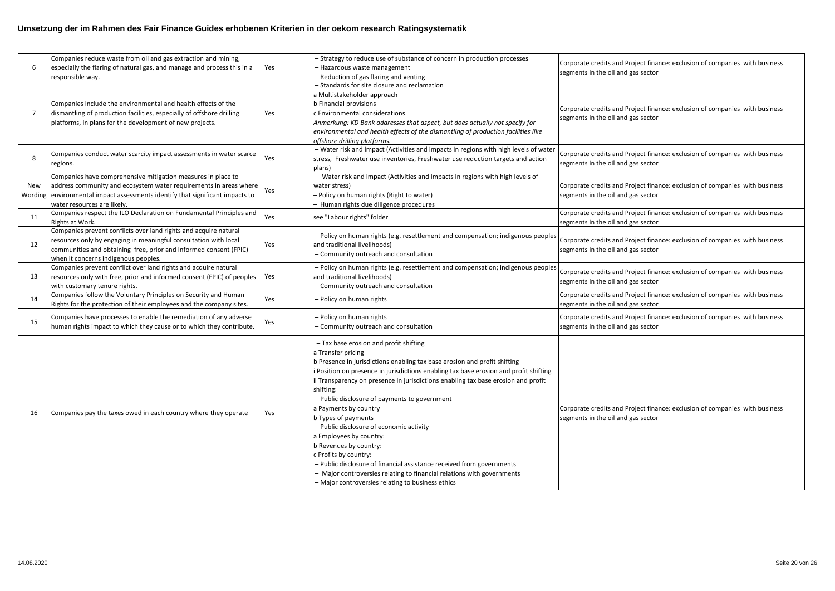| 6              | Companies reduce waste from oil and gas extraction and mining,<br>especially the flaring of natural gas, and manage and process this in a<br>responsible way.                                                                                     | Yes | - Strategy to reduce use of substance of concern in production processes<br>- Hazardous waste management<br>- Reduction of gas flaring and venting                                                                                                                                                                                                                                                                                                                                                                                                                                                                                                                                                                                                                      | Corporate credits and Project finance: exclusion of companies with business<br>segments in the oil and gas sector |
|----------------|---------------------------------------------------------------------------------------------------------------------------------------------------------------------------------------------------------------------------------------------------|-----|-------------------------------------------------------------------------------------------------------------------------------------------------------------------------------------------------------------------------------------------------------------------------------------------------------------------------------------------------------------------------------------------------------------------------------------------------------------------------------------------------------------------------------------------------------------------------------------------------------------------------------------------------------------------------------------------------------------------------------------------------------------------------|-------------------------------------------------------------------------------------------------------------------|
| $\overline{7}$ | Companies include the environmental and health effects of the<br>dismantling of production facilities, especially of offshore drilling<br>platforms, in plans for the development of new projects.                                                | Yes | - Standards for site closure and reclamation<br>a Multistakeholder approach<br>b Financial provisions<br>c Environmental considerations<br>Anmerkung: KD Bank addresses that aspect, but does actually not specify for<br>environmental and health effects of the dismantling of production facilities like<br>offshore drilling platforms.                                                                                                                                                                                                                                                                                                                                                                                                                             | Corporate credits and Project finance: exclusion of companies with business<br>segments in the oil and gas sector |
| 8              | Companies conduct water scarcity impact assessments in water scarce<br>regions.                                                                                                                                                                   | Yes | - Water risk and impact (Activities and impacts in regions with high levels of water<br>stress, Freshwater use inventories, Freshwater use reduction targets and action<br>plans)                                                                                                                                                                                                                                                                                                                                                                                                                                                                                                                                                                                       | Corporate credits and Project finance: exclusion of companies with business<br>segments in the oil and gas sector |
| New            | Companies have comprehensive mitigation measures in place to<br>address community and ecosystem water requirements in areas where<br>Wording environmental impact assessments identify that significant impacts to<br>water resources are likely. | Yes | - Water risk and impact (Activities and impacts in regions with high levels of<br>water stress)<br>- Policy on human rights (Right to water)<br>Human rights due diligence procedures                                                                                                                                                                                                                                                                                                                                                                                                                                                                                                                                                                                   | Corporate credits and Project finance: exclusion of companies with business<br>segments in the oil and gas sector |
| 11             | Companies respect the ILO Declaration on Fundamental Principles and<br>Rights at Work.                                                                                                                                                            | Yes | see "Labour rights" folder                                                                                                                                                                                                                                                                                                                                                                                                                                                                                                                                                                                                                                                                                                                                              | Corporate credits and Project finance: exclusion of companies with business<br>segments in the oil and gas sector |
| 12             | Companies prevent conflicts over land rights and acquire natural<br>resources only by engaging in meaningful consultation with local<br>communities and obtaining free, prior and informed consent (FPIC)<br>when it concerns indigenous peoples. | Yes | - Policy on human rights (e.g. resettlement and compensation; indigenous peoples<br>and traditional livelihoods)<br>- Community outreach and consultation                                                                                                                                                                                                                                                                                                                                                                                                                                                                                                                                                                                                               | Corporate credits and Project finance: exclusion of companies with business<br>segments in the oil and gas sector |
| 13             | Companies prevent conflict over land rights and acquire natural<br>resources only with free, prior and informed consent (FPIC) of peoples<br>with customary tenure rights.                                                                        | Yes | - Policy on human rights (e.g. resettlement and compensation; indigenous peoples<br>and traditional livelihoods)<br>- Community outreach and consultation                                                                                                                                                                                                                                                                                                                                                                                                                                                                                                                                                                                                               | Corporate credits and Project finance: exclusion of companies with business<br>segments in the oil and gas sector |
| 14             | Companies follow the Voluntary Principles on Security and Human<br>Rights for the protection of their employees and the company sites.                                                                                                            | Yes | - Policy on human rights                                                                                                                                                                                                                                                                                                                                                                                                                                                                                                                                                                                                                                                                                                                                                | Corporate credits and Project finance: exclusion of companies with business<br>segments in the oil and gas sector |
| 15             | Companies have processes to enable the remediation of any adverse<br>human rights impact to which they cause or to which they contribute.                                                                                                         | Yes | - Policy on human rights<br>- Community outreach and consultation                                                                                                                                                                                                                                                                                                                                                                                                                                                                                                                                                                                                                                                                                                       | Corporate credits and Project finance: exclusion of companies with business<br>segments in the oil and gas sector |
| 16             | Companies pay the taxes owed in each country where they operate                                                                                                                                                                                   | Yes | - Tax base erosion and profit shifting<br>a Transfer pricing<br>b Presence in jurisdictions enabling tax base erosion and profit shifting<br>i Position on presence in jurisdictions enabling tax base erosion and profit shifting<br>ii Transparency on presence in jurisdictions enabling tax base erosion and profit<br>shifting:<br>- Public disclosure of payments to government<br>a Payments by country<br>b Types of payments<br>- Public disclosure of economic activity<br>a Employees by country:<br>b Revenues by country:<br>c Profits by country:<br>- Public disclosure of financial assistance received from governments<br>- Major controversies relating to financial relations with governments<br>- Major controversies relating to business ethics | Corporate credits and Project finance: exclusion of companies with business<br>segments in the oil and gas sector |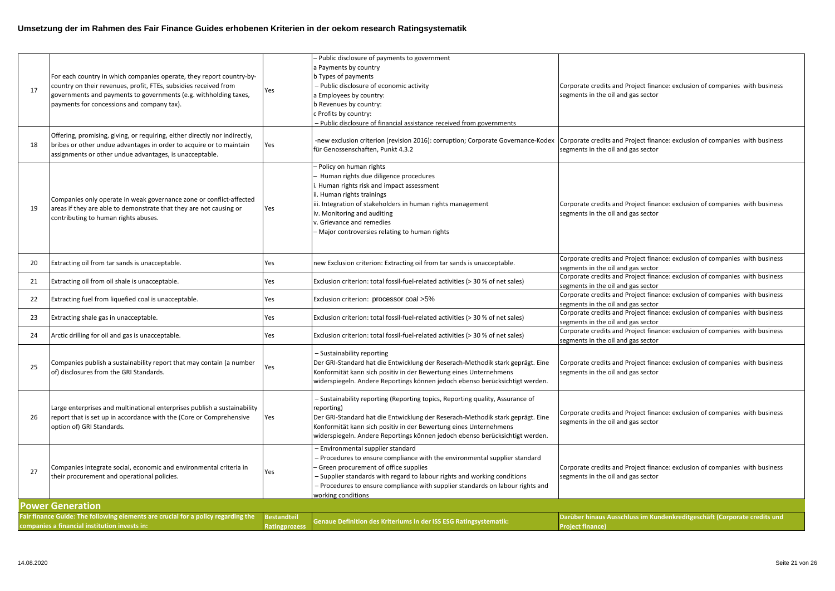| 17 | For each country in which companies operate, they report country-by-<br>country on their revenues, profit, FTEs, subsidies received from<br>governments and payments to governments (e.g. withholding taxes,<br>payments for concessions and company tax). | Yes                                 | - Public disclosure of payments to government<br>a Payments by country<br>b Types of payments<br>- Public disclosure of economic activity<br>a Employees by country:<br>b Revenues by country:<br>c Profits by country:<br>- Public disclosure of financial assistance received from governments                                            | Corporate credits and Project finance: exclusion of companies with business<br>segments in the oil and gas sector |
|----|------------------------------------------------------------------------------------------------------------------------------------------------------------------------------------------------------------------------------------------------------------|-------------------------------------|---------------------------------------------------------------------------------------------------------------------------------------------------------------------------------------------------------------------------------------------------------------------------------------------------------------------------------------------|-------------------------------------------------------------------------------------------------------------------|
| 18 | Offering, promising, giving, or requiring, either directly nor indirectly,<br>bribes or other undue advantages in order to acquire or to maintain<br>assignments or other undue advantages, is unacceptable.                                               | Yes                                 | -new exclusion criterion (revision 2016): corruption; Corporate Governance-Kodex<br>für Genossenschaften, Punkt 4.3.2                                                                                                                                                                                                                       | Corporate credits and Project finance: exclusion of companies with business<br>segments in the oil and gas sector |
| 19 | Companies only operate in weak governance zone or conflict-affected<br>areas if they are able to demonstrate that they are not causing or<br>contributing to human rights abuses.                                                                          | Yes                                 | Policy on human rights<br>Human rights due diligence procedures<br>Human rights risk and impact assessment<br>ii. Human rights trainings<br>iii. Integration of stakeholders in human rights management<br>iv. Monitoring and auditing<br>v. Grievance and remedies<br>Major controversies relating to human rights                         | Corporate credits and Project finance: exclusion of companies with business<br>segments in the oil and gas sector |
| 20 | Extracting oil from tar sands is unacceptable.                                                                                                                                                                                                             | Yes                                 | new Exclusion criterion: Extracting oil from tar sands is unacceptable.                                                                                                                                                                                                                                                                     | Corporate credits and Project finance: exclusion of companies with business<br>segments in the oil and gas sector |
| 21 | Extracting oil from oil shale is unacceptable.                                                                                                                                                                                                             | Yes                                 | Exclusion criterion: total fossil-fuel-related activities (> 30 % of net sales)                                                                                                                                                                                                                                                             | Corporate credits and Project finance: exclusion of companies with business<br>segments in the oil and gas sector |
| 22 | Extracting fuel from liquefied coal is unacceptable.                                                                                                                                                                                                       | Yes                                 | Exclusion criterion: processor coal >5%                                                                                                                                                                                                                                                                                                     | Corporate credits and Project finance: exclusion of companies with business<br>segments in the oil and gas sector |
| 23 | Extracting shale gas in unacceptable.                                                                                                                                                                                                                      | Yes                                 | Exclusion criterion: total fossil-fuel-related activities (> 30 % of net sales)                                                                                                                                                                                                                                                             | Corporate credits and Project finance: exclusion of companies with business<br>segments in the oil and gas sector |
| 24 | Arctic drilling for oil and gas is unacceptable.                                                                                                                                                                                                           | Yes                                 | Exclusion criterion: total fossil-fuel-related activities (> 30 % of net sales)                                                                                                                                                                                                                                                             | Corporate credits and Project finance: exclusion of companies with business<br>segments in the oil and gas sector |
| 25 | Companies publish a sustainability report that may contain (a number<br>of) disclosures from the GRI Standards.                                                                                                                                            | Yes                                 | - Sustainability reporting<br>Der GRI-Standard hat die Entwicklung der Reserach-Methodik stark geprägt. Eine<br>Konformität kann sich positiv in der Bewertung eines Unternehmens<br>widerspiegeln. Andere Reportings können jedoch ebenso berücksichtigt werden.                                                                           | Corporate credits and Project finance: exclusion of companies with business<br>segments in the oil and gas sector |
| 26 | Large enterprises and multinational enterprises publish a sustainability<br>report that is set up in accordance with the (Core or Comprehensive<br>option of) GRI Standards.                                                                               | Yes                                 | - Sustainability reporting (Reporting topics, Reporting quality, Assurance of<br>reporting)<br>Der GRI-Standard hat die Entwicklung der Reserach-Methodik stark geprägt. Eine<br>Konformität kann sich positiv in der Bewertung eines Unternehmens<br>widerspiegeln. Andere Reportings können jedoch ebenso berücksichtigt werden.          | Corporate credits and Project finance: exclusion of companies with business<br>segments in the oil and gas sector |
| 27 | Companies integrate social, economic and environmental criteria in<br>their procurement and operational policies.                                                                                                                                          | Yes                                 | - Environmental supplier standard<br>- Procedures to ensure compliance with the environmental supplier standard<br>Green procurement of office supplies<br>- Supplier standards with regard to labour rights and working conditions<br>- Procedures to ensure compliance with supplier standards on labour rights and<br>working conditions | Corporate credits and Project finance: exclusion of companies with business<br>segments in the oil and gas sector |
|    | <b>Power Generation</b>                                                                                                                                                                                                                                    |                                     |                                                                                                                                                                                                                                                                                                                                             |                                                                                                                   |
|    | Fair finance Guide: The following elements are crucial for a policy regarding the<br>companies a financial institution invests in:                                                                                                                         | <b>Bestandteil</b><br>Ratingprozess | Genaue Definition des Kriteriums in der ISS ESG Ratingsystematik:                                                                                                                                                                                                                                                                           | Darüber hinaus Ausschluss im Kundenkreditgeschäft (Corporate credits und<br>Project finance)                      |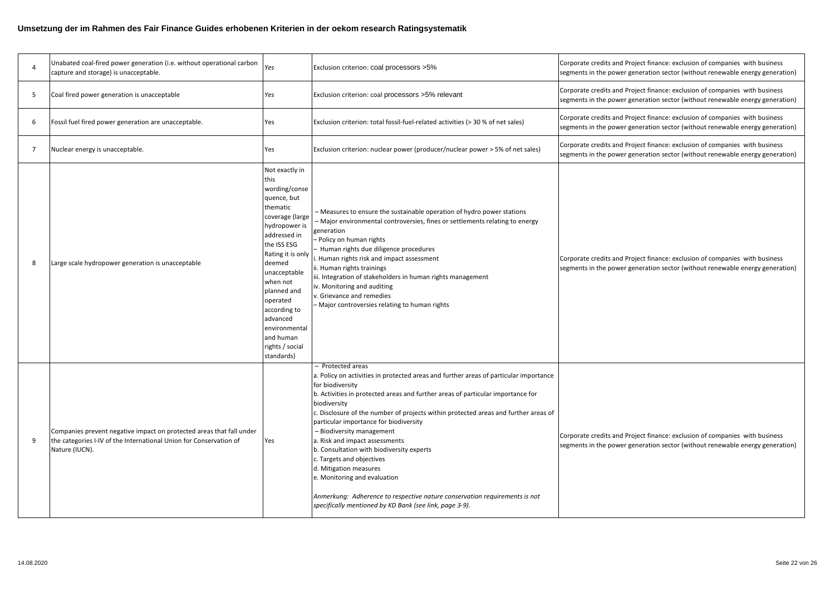| $\overline{4}$ | Unabated coal-fired power generation (i.e. without operational carbon<br>capture and storage) is unacceptable.                                               | Yes                                                                                                                                                                                                                                                                                                                    | Exclusion criterion: coal processors >5%                                                                                                                                                                                                                                                                                                                                                                                                                                                                                                                                                                                                                                                                       | Corporate credits and Project finance: exclusion of companies with business<br>segments in the power generation sector (without renewable energy generation) |
|----------------|--------------------------------------------------------------------------------------------------------------------------------------------------------------|------------------------------------------------------------------------------------------------------------------------------------------------------------------------------------------------------------------------------------------------------------------------------------------------------------------------|----------------------------------------------------------------------------------------------------------------------------------------------------------------------------------------------------------------------------------------------------------------------------------------------------------------------------------------------------------------------------------------------------------------------------------------------------------------------------------------------------------------------------------------------------------------------------------------------------------------------------------------------------------------------------------------------------------------|--------------------------------------------------------------------------------------------------------------------------------------------------------------|
| -5             | Coal fired power generation is unacceptable                                                                                                                  | Yes                                                                                                                                                                                                                                                                                                                    | Exclusion criterion: coal processors >5% relevant                                                                                                                                                                                                                                                                                                                                                                                                                                                                                                                                                                                                                                                              | Corporate credits and Project finance: exclusion of companies with business<br>segments in the power generation sector (without renewable energy generation) |
| 6              | Fossil fuel fired power generation are unacceptable.                                                                                                         | Yes                                                                                                                                                                                                                                                                                                                    | Exclusion criterion: total fossil-fuel-related activities (> 30 % of net sales)                                                                                                                                                                                                                                                                                                                                                                                                                                                                                                                                                                                                                                | Corporate credits and Project finance: exclusion of companies with business<br>segments in the power generation sector (without renewable energy generation) |
| $\overline{7}$ | Nuclear energy is unacceptable.                                                                                                                              | Yes                                                                                                                                                                                                                                                                                                                    | Exclusion criterion: nuclear power (producer/nuclear power > 5% of net sales)                                                                                                                                                                                                                                                                                                                                                                                                                                                                                                                                                                                                                                  | Corporate credits and Project finance: exclusion of companies with business<br>segments in the power generation sector (without renewable energy generation) |
| 8              | Large scale hydropower generation is unacceptable                                                                                                            | Not exactly in<br>this<br>wording/conse<br>quence, but<br>thematic<br>coverage (large<br>hydropower is<br>addressed in<br>the ISS ESG<br>Rating it is only<br>deemed<br>unacceptable<br>when not<br>planned and<br>operated<br>according to<br>advanced<br>environmental<br>and human<br>rights / social<br>standards) | - Measures to ensure the sustainable operation of hydro power stations<br>- Major environmental controversies, fines or settlements relating to energy<br>generation<br>Policy on human rights<br>Human rights due diligence procedures<br>Human rights risk and impact assessment<br>i. Human rights trainings<br>iii. Integration of stakeholders in human rights management<br>iv. Monitoring and auditing<br>v. Grievance and remedies<br>- Major controversies relating to human rights                                                                                                                                                                                                                   | Corporate credits and Project finance: exclusion of companies with business<br>segments in the power generation sector (without renewable energy generation) |
| 9              | Companies prevent negative impact on protected areas that fall under<br>the categories I-IV of the International Union for Conservation of<br>Nature (IUCN). | Yes                                                                                                                                                                                                                                                                                                                    | - Protected areas<br>a. Policy on activities in protected areas and further areas of particular importance<br>for biodiversity<br>b. Activities in protected areas and further areas of particular importance for<br>biodiversity<br>c. Disclosure of the number of projects within protected areas and further areas of<br>particular importance for biodiversity<br>- Biodiversity management<br>a. Risk and impact assessments<br>b. Consultation with biodiversity experts<br>c. Targets and objectives<br>d. Mitigation measures<br>e. Monitoring and evaluation<br>Anmerkung: Adherence to respective nature conservation requirements is not<br>specifically mentioned by KD Bank (see link, page 3-9). | Corporate credits and Project finance: exclusion of companies with business<br>segments in the power generation sector (without renewable energy generation) |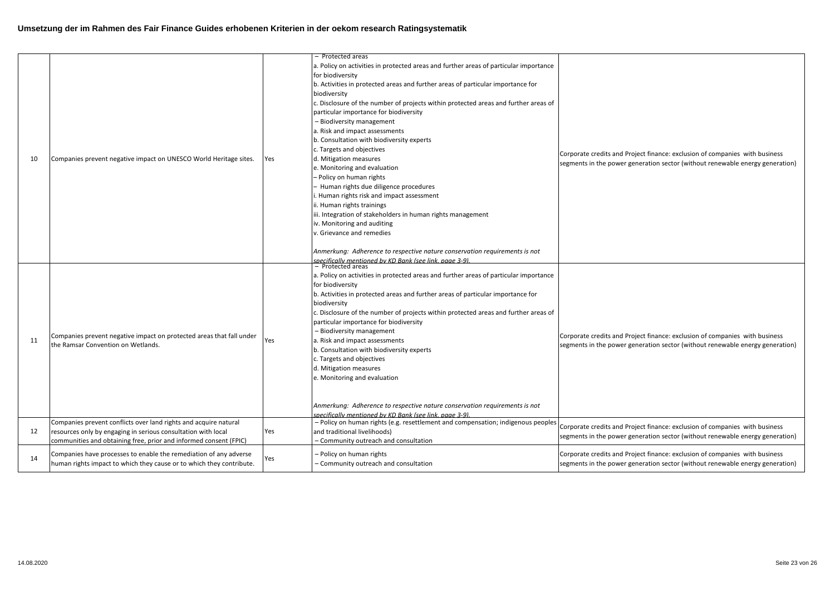| 10 | Companies prevent negative impact on UNESCO World Heritage sites.                                                                                                                                      | Yes | - Protected areas<br>a. Policy on activities in protected areas and further areas of particular importance<br>for biodiversity<br>b. Activities in protected areas and further areas of particular importance for<br>biodiversity<br>c. Disclosure of the number of projects within protected areas and further areas of<br>particular importance for biodiversity<br>- Biodiversity management<br>a. Risk and impact assessments<br>b. Consultation with biodiversity experts<br>c. Targets and objectives<br>d. Mitigation measures<br>e. Monitoring and evaluation<br>- Policy on human rights<br>- Human rights due diligence procedures<br>Human rights risk and impact assessment<br>ii. Human rights trainings<br>iii. Integration of stakeholders in human rights management<br>iv. Monitoring and auditing<br>v. Grievance and remedies<br>Anmerkung: Adherence to respective nature conservation requirements is not | Corporate credits and Project finance: exclusion of companies with business<br>segments in the power generation sector (without renewable energy generation) |
|----|--------------------------------------------------------------------------------------------------------------------------------------------------------------------------------------------------------|-----|--------------------------------------------------------------------------------------------------------------------------------------------------------------------------------------------------------------------------------------------------------------------------------------------------------------------------------------------------------------------------------------------------------------------------------------------------------------------------------------------------------------------------------------------------------------------------------------------------------------------------------------------------------------------------------------------------------------------------------------------------------------------------------------------------------------------------------------------------------------------------------------------------------------------------------|--------------------------------------------------------------------------------------------------------------------------------------------------------------|
| 11 | Companies prevent negative impact on protected areas that fall under<br>the Ramsar Convention on Wetlands.                                                                                             | Yes | specifically mentioned by KD Bank (see link_page 3-9)<br>- Protected areas<br>a. Policy on activities in protected areas and further areas of particular importance<br>for biodiversity<br>b. Activities in protected areas and further areas of particular importance for<br>biodiversity<br>c. Disclosure of the number of projects within protected areas and further areas of<br>particular importance for biodiversity<br>- Biodiversity management<br>a. Risk and impact assessments<br>b. Consultation with biodiversity experts<br>c. Targets and objectives<br>d. Mitigation measures<br>e. Monitoring and evaluation<br>Anmerkung: Adherence to respective nature conservation requirements is not<br>specifically mentioned by KD Bank (see link, page 3-9).                                                                                                                                                        | Corporate credits and Project finance: exclusion of companies with business<br>segments in the power generation sector (without renewable energy generation) |
| 12 | Companies prevent conflicts over land rights and acquire natural<br>resources only by engaging in serious consultation with local<br>communities and obtaining free, prior and informed consent (FPIC) | Yes | - Policy on human rights (e.g. resettlement and compensation; indigenous peoples<br>and traditional livelihoods)<br>- Community outreach and consultation                                                                                                                                                                                                                                                                                                                                                                                                                                                                                                                                                                                                                                                                                                                                                                      | Corporate credits and Project finance: exclusion of companies with business<br>segments in the power generation sector (without renewable energy generation) |
| 14 | Companies have processes to enable the remediation of any adverse<br>human rights impact to which they cause or to which they contribute.                                                              | Yes | - Policy on human rights<br>- Community outreach and consultation                                                                                                                                                                                                                                                                                                                                                                                                                                                                                                                                                                                                                                                                                                                                                                                                                                                              | Corporate credits and Project finance: exclusion of companies with business<br>segments in the power generation sector (without renewable energy generation) |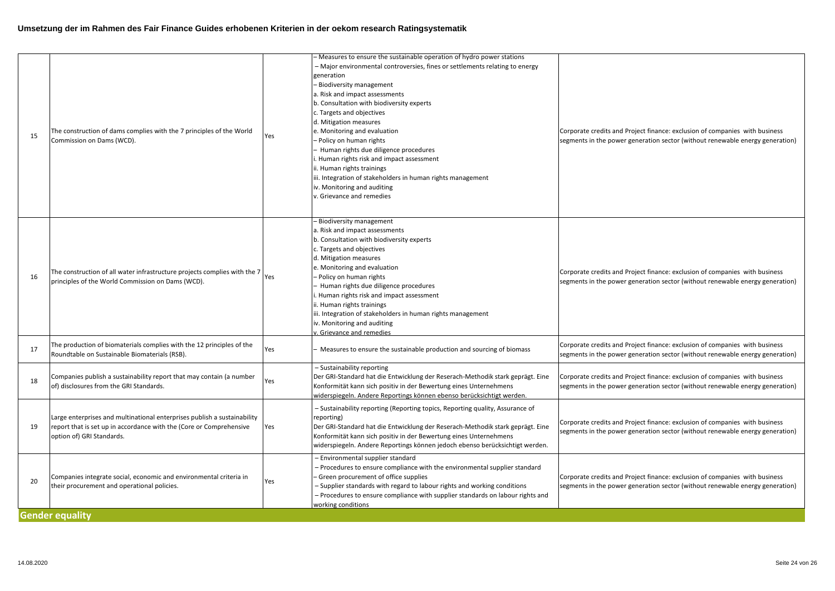|                        |                                                                                                                                                                              |     | - Measures to ensure the sustainable operation of hydro power stations<br>- Major environmental controversies, fines or settlements relating to energy                                                                                                                                                                                                                                                                                                                                      |                                                                                                                                                              |
|------------------------|------------------------------------------------------------------------------------------------------------------------------------------------------------------------------|-----|---------------------------------------------------------------------------------------------------------------------------------------------------------------------------------------------------------------------------------------------------------------------------------------------------------------------------------------------------------------------------------------------------------------------------------------------------------------------------------------------|--------------------------------------------------------------------------------------------------------------------------------------------------------------|
| 15                     | The construction of dams complies with the 7 principles of the World<br>Commission on Dams (WCD).                                                                            | Yes | generation<br>- Biodiversity management<br>a. Risk and impact assessments<br>b. Consultation with biodiversity experts<br>c. Targets and objectives<br>d. Mitigation measures<br>e. Monitoring and evaluation<br>- Policy on human rights<br>- Human rights due diligence procedures<br>i. Human rights risk and impact assessment<br>ii. Human rights trainings<br>iii. Integration of stakeholders in human rights management<br>iv. Monitoring and auditing<br>v. Grievance and remedies | Corporate credits and Project finance: exclusion of companies with business<br>segments in the power generation sector (without renewable energy generation) |
| 16                     | The construction of all water infrastructure projects complies with the 7<br>principles of the World Commission on Dams (WCD).                                               | Yes | - Biodiversity management<br>a. Risk and impact assessments<br>b. Consultation with biodiversity experts<br>c. Targets and objectives<br>d. Mitigation measures<br>e. Monitoring and evaluation<br>- Policy on human rights<br>- Human rights due diligence procedures<br>i. Human rights risk and impact assessment<br>ii. Human rights trainings<br>iii. Integration of stakeholders in human rights management<br>iv. Monitoring and auditing<br>v. Grievance and remedies               | Corporate credits and Project finance: exclusion of companies with business<br>segments in the power generation sector (without renewable energy generation) |
| 17                     | The production of biomaterials complies with the 12 principles of the<br>Roundtable on Sustainable Biomaterials (RSB).                                                       | Yes | - Measures to ensure the sustainable production and sourcing of biomass                                                                                                                                                                                                                                                                                                                                                                                                                     | Corporate credits and Project finance: exclusion of companies with business<br>segments in the power generation sector (without renewable energy generation) |
| 18                     | Companies publish a sustainability report that may contain (a number<br>of) disclosures from the GRI Standards.                                                              | Yes | - Sustainability reporting<br>Der GRI-Standard hat die Entwicklung der Reserach-Methodik stark geprägt. Eine<br>Konformität kann sich positiv in der Bewertung eines Unternehmens<br>widerspiegeln. Andere Reportings können ebenso berücksichtigt werden.                                                                                                                                                                                                                                  | Corporate credits and Project finance: exclusion of companies with business<br>segments in the power generation sector (without renewable energy generation) |
| 19                     | Large enterprises and multinational enterprises publish a sustainability<br>report that is set up in accordance with the (Core or Comprehensive<br>option of) GRI Standards. | Yes | - Sustainability reporting (Reporting topics, Reporting quality, Assurance of<br>reporting)<br>Der GRI-Standard hat die Entwicklung der Reserach-Methodik stark geprägt. Eine<br>Konformität kann sich positiv in der Bewertung eines Unternehmens<br>widerspiegeln. Andere Reportings können jedoch ebenso berücksichtigt werden.                                                                                                                                                          | Corporate credits and Project finance: exclusion of companies with business<br>segments in the power generation sector (without renewable energy generation) |
| 20                     | Companies integrate social, economic and environmental criteria in<br>their procurement and operational policies.                                                            | Yes | - Environmental supplier standard<br>- Procedures to ensure compliance with the environmental supplier standard<br>Green procurement of office supplies<br>- Supplier standards with regard to labour rights and working conditions<br>- Procedures to ensure compliance with supplier standards on labour rights and<br>working conditions                                                                                                                                                 | Corporate credits and Project finance: exclusion of companies with business<br>segments in the power generation sector (without renewable energy generation) |
| <b>Gender equality</b> |                                                                                                                                                                              |     |                                                                                                                                                                                                                                                                                                                                                                                                                                                                                             |                                                                                                                                                              |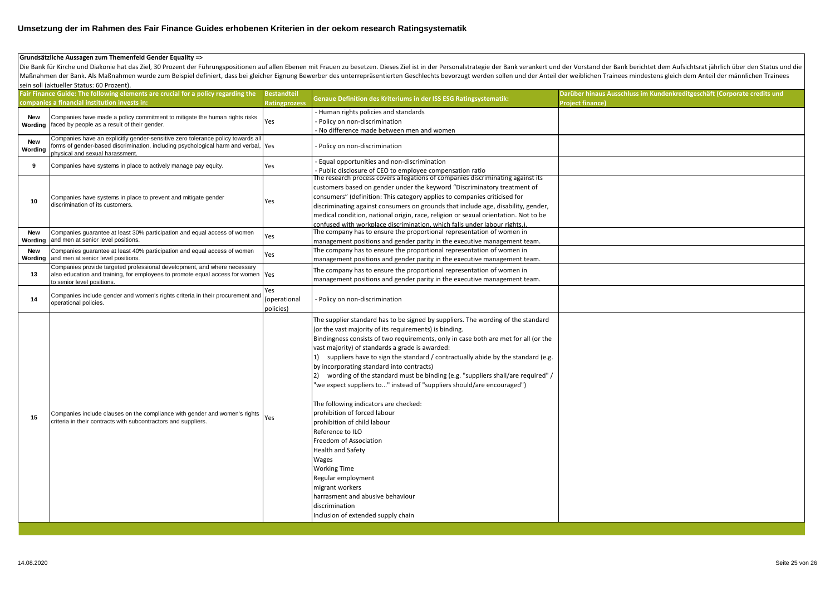#### **Grundsätzliche Aussagen zum Themenfeld Gender Equality =>**

Die Bank für Kirche und Diakonie hat das Ziel, 30 Prozent der Führungspositionen auf allen Ebenen mit Frauen zu besetzen. Dieses Ziel ist in der Personalstrategie der Bank verankert und der Vorstand der Bank berichtet dem Maßnahmen der Bank. Als Maßnahmen wurde zum Beispiel definiert, dass bei gleicher Eignung Bewerber des unterrepräsentierten Geschlechts bevorzugt werden sollen und der Anteil der weiblichen Trainees mindestens gleich dem A sein soll (aktueller Status: 60 Prozent).

| Darüber hinaus Ausschluss im Kundenkreditgeschäft (Corporate credits und<br><b>Genaue Definition des Kriteriums in der ISS ESG Ratingsystematik:</b>                                                                                                                                                                                                                                                                                                                                                                                                                                                                                                                                                                                                                                                                                                                              | <b>Bestandteil</b>   | Fair Finance Guide: The following elements are crucial for a policy regarding the                                                                                                                         |                |
|-----------------------------------------------------------------------------------------------------------------------------------------------------------------------------------------------------------------------------------------------------------------------------------------------------------------------------------------------------------------------------------------------------------------------------------------------------------------------------------------------------------------------------------------------------------------------------------------------------------------------------------------------------------------------------------------------------------------------------------------------------------------------------------------------------------------------------------------------------------------------------------|----------------------|-----------------------------------------------------------------------------------------------------------------------------------------------------------------------------------------------------------|----------------|
| <b>Project finance)</b>                                                                                                                                                                                                                                                                                                                                                                                                                                                                                                                                                                                                                                                                                                                                                                                                                                                           | <b>Ratingprozess</b> | companies a financial institution invests in:                                                                                                                                                             |                |
| Human rights policies and standards                                                                                                                                                                                                                                                                                                                                                                                                                                                                                                                                                                                                                                                                                                                                                                                                                                               |                      | Companies have made a policy commitment to mitigate the human rights risks                                                                                                                                | New            |
| Policy on non-discrimination                                                                                                                                                                                                                                                                                                                                                                                                                                                                                                                                                                                                                                                                                                                                                                                                                                                      | Yes                  | faced by people as a result of their gender.                                                                                                                                                              | Wording        |
| No difference made between men and women                                                                                                                                                                                                                                                                                                                                                                                                                                                                                                                                                                                                                                                                                                                                                                                                                                          |                      |                                                                                                                                                                                                           |                |
| Policy on non-discrimination                                                                                                                                                                                                                                                                                                                                                                                                                                                                                                                                                                                                                                                                                                                                                                                                                                                      |                      | Companies have an explicitly gender-sensitive zero tolerance policy towards all<br>forms of gender-based discrimination, including psychological harm and verbal,  Yes<br>physical and sexual harassment. | New<br>Wording |
| Equal opportunities and non-discrimination                                                                                                                                                                                                                                                                                                                                                                                                                                                                                                                                                                                                                                                                                                                                                                                                                                        |                      |                                                                                                                                                                                                           |                |
| Public disclosure of CEO to employee compensation ratio                                                                                                                                                                                                                                                                                                                                                                                                                                                                                                                                                                                                                                                                                                                                                                                                                           | Yes                  | Companies have systems in place to actively manage pay equity.                                                                                                                                            | 9              |
| The research process covers allegations of companies discriminating against its                                                                                                                                                                                                                                                                                                                                                                                                                                                                                                                                                                                                                                                                                                                                                                                                   |                      |                                                                                                                                                                                                           |                |
| customers based on gender under the keyword "Discriminatory treatment of                                                                                                                                                                                                                                                                                                                                                                                                                                                                                                                                                                                                                                                                                                                                                                                                          |                      |                                                                                                                                                                                                           |                |
| consumers" (definition: This category applies to companies criticised for                                                                                                                                                                                                                                                                                                                                                                                                                                                                                                                                                                                                                                                                                                                                                                                                         |                      | Companies have systems in place to prevent and mitigate gender                                                                                                                                            |                |
| discriminating against consumers on grounds that include age, disability, gender,                                                                                                                                                                                                                                                                                                                                                                                                                                                                                                                                                                                                                                                                                                                                                                                                 | Yes                  | discrimination of its customers.                                                                                                                                                                          | 10             |
| medical condition, national origin, race, religion or sexual orientation. Not to be                                                                                                                                                                                                                                                                                                                                                                                                                                                                                                                                                                                                                                                                                                                                                                                               |                      |                                                                                                                                                                                                           |                |
| confused with workplace discrimination, which falls under labour rights.).                                                                                                                                                                                                                                                                                                                                                                                                                                                                                                                                                                                                                                                                                                                                                                                                        |                      |                                                                                                                                                                                                           |                |
| The company has to ensure the proportional representation of women in                                                                                                                                                                                                                                                                                                                                                                                                                                                                                                                                                                                                                                                                                                                                                                                                             |                      | Companies guarantee at least 30% participation and equal access of women                                                                                                                                  | New            |
| management positions and gender parity in the executive management team.                                                                                                                                                                                                                                                                                                                                                                                                                                                                                                                                                                                                                                                                                                                                                                                                          | Yes                  | and men at senior level positions.                                                                                                                                                                        | Wording        |
| The company has to ensure the proportional representation of women in                                                                                                                                                                                                                                                                                                                                                                                                                                                                                                                                                                                                                                                                                                                                                                                                             |                      | Companies guarantee at least 40% participation and equal access of women                                                                                                                                  | New            |
| management positions and gender parity in the executive management team.                                                                                                                                                                                                                                                                                                                                                                                                                                                                                                                                                                                                                                                                                                                                                                                                          | Yes                  | and men at senior level positions.                                                                                                                                                                        | Wordina        |
| The company has to ensure the proportional representation of women in                                                                                                                                                                                                                                                                                                                                                                                                                                                                                                                                                                                                                                                                                                                                                                                                             |                      | Companies provide targeted professional development, and where necessary                                                                                                                                  |                |
| management positions and gender parity in the executive management team.                                                                                                                                                                                                                                                                                                                                                                                                                                                                                                                                                                                                                                                                                                                                                                                                          |                      | also education and training, for employees to promote equal access for women Yes<br>to senior level positions.                                                                                            | 13             |
|                                                                                                                                                                                                                                                                                                                                                                                                                                                                                                                                                                                                                                                                                                                                                                                                                                                                                   | Yes                  |                                                                                                                                                                                                           |                |
| Policy on non-discrimination                                                                                                                                                                                                                                                                                                                                                                                                                                                                                                                                                                                                                                                                                                                                                                                                                                                      | (operational         | Companies include gender and women's rights criteria in their procurement and                                                                                                                             | 14             |
|                                                                                                                                                                                                                                                                                                                                                                                                                                                                                                                                                                                                                                                                                                                                                                                                                                                                                   | policies)            | operational policies.                                                                                                                                                                                     |                |
| The supplier standard has to be signed by suppliers. The wording of the standard<br>(or the vast majority of its requirements) is binding.<br>Bindingness consists of two requirements, only in case both are met for all (or the<br>vast majority) of standards a grade is awarded:<br>1) suppliers have to sign the standard / contractually abide by the standard (e.g.<br>by incorporating standard into contracts)<br>wording of the standard must be binding (e.g. "suppliers shall/are required" /<br>"we expect suppliers to" instead of "suppliers should/are encouraged")<br>The following indicators are checked:<br>prohibition of forced labour<br>prohibition of child labour<br>Reference to ILO<br>Freedom of Association<br>Health and Safety<br>Regular employment<br>migrant workers<br>harrasment and abusive behaviour<br>Inclusion of extended supply chain | Yes                  | Companies include clauses on the compliance with gender and women's rights<br>criteria in their contracts with subcontractors and suppliers.                                                              | 15             |
|                                                                                                                                                                                                                                                                                                                                                                                                                                                                                                                                                                                                                                                                                                                                                                                                                                                                                   |                      |                                                                                                                                                                                                           |                |